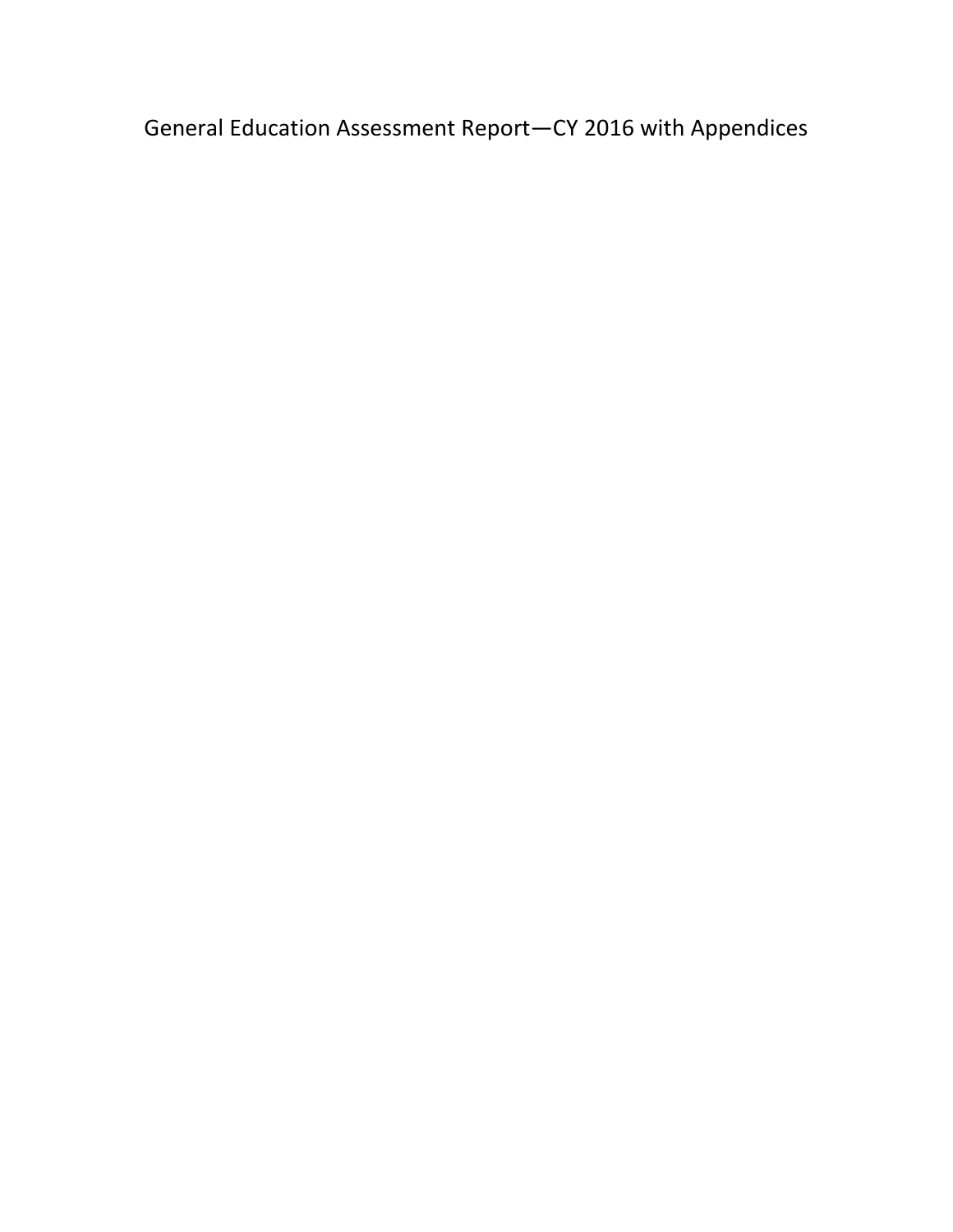General Education Assessment Report—CY 2016 with Appendices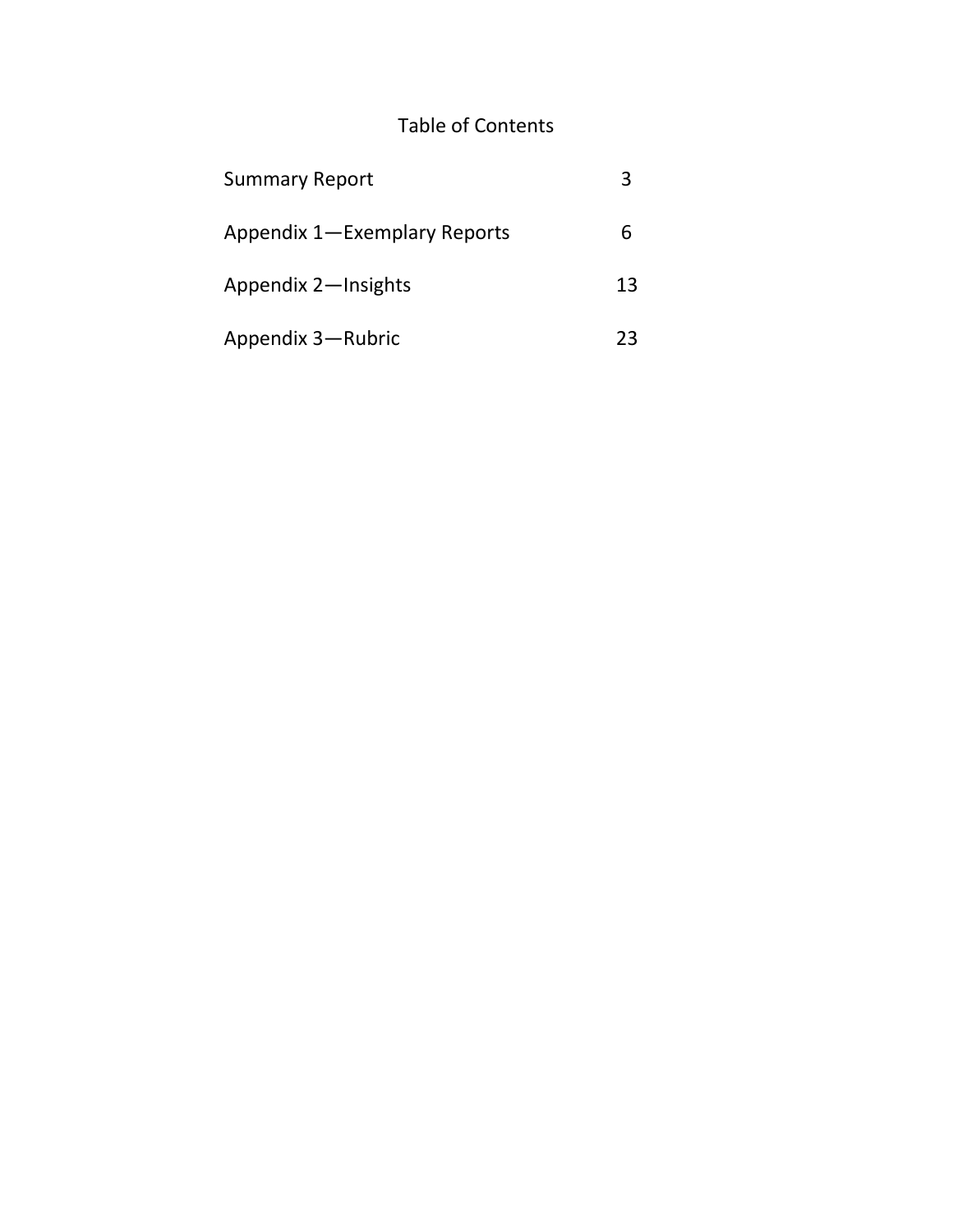## Table of Contents

| <b>Summary Report</b>        |    |
|------------------------------|----|
| Appendix 1-Exemplary Reports | b  |
| Appendix 2-Insights          | 13 |
| Appendix 3-Rubric            | 23 |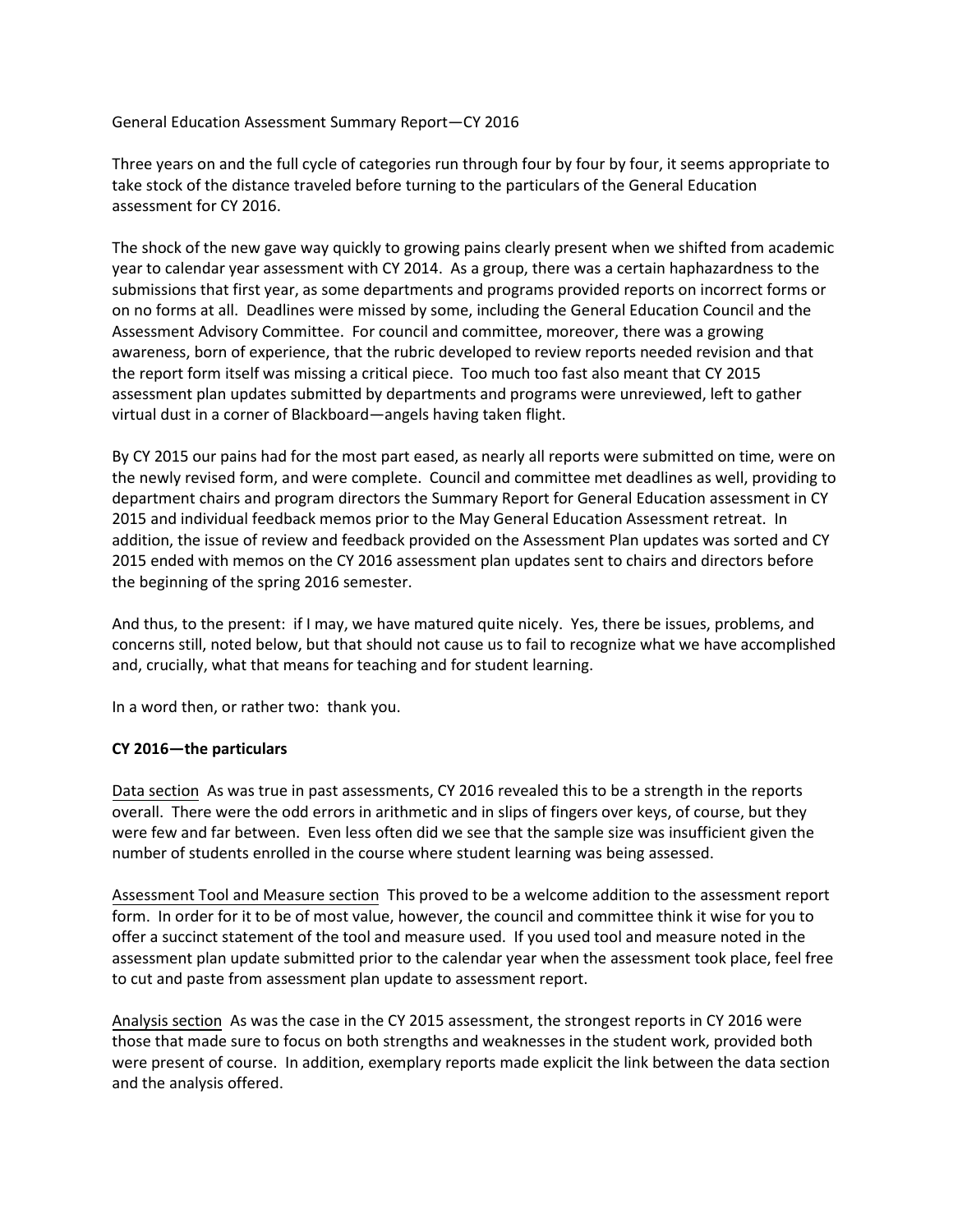General Education Assessment Summary Report—CY 2016

Three years on and the full cycle of categories run through four by four by four, it seems appropriate to take stock of the distance traveled before turning to the particulars of the General Education assessment for CY 2016.

The shock of the new gave way quickly to growing pains clearly present when we shifted from academic year to calendar year assessment with CY 2014. As a group, there was a certain haphazardness to the submissions that first year, as some departments and programs provided reports on incorrect forms or on no forms at all. Deadlines were missed by some, including the General Education Council and the Assessment Advisory Committee. For council and committee, moreover, there was a growing awareness, born of experience, that the rubric developed to review reports needed revision and that the report form itself was missing a critical piece. Too much too fast also meant that CY 2015 assessment plan updates submitted by departments and programs were unreviewed, left to gather virtual dust in a corner of Blackboard—angels having taken flight.

By CY 2015 our pains had for the most part eased, as nearly all reports were submitted on time, were on the newly revised form, and were complete. Council and committee met deadlines as well, providing to department chairs and program directors the Summary Report for General Education assessment in CY 2015 and individual feedback memos prior to the May General Education Assessment retreat. In addition, the issue of review and feedback provided on the Assessment Plan updates was sorted and CY 2015 ended with memos on the CY 2016 assessment plan updates sent to chairs and directors before the beginning of the spring 2016 semester.

And thus, to the present: if I may, we have matured quite nicely. Yes, there be issues, problems, and concerns still, noted below, but that should not cause us to fail to recognize what we have accomplished and, crucially, what that means for teaching and for student learning.

In a word then, or rather two: thank you.

### **CY 2016—the particulars**

Data section As was true in past assessments, CY 2016 revealed this to be a strength in the reports overall. There were the odd errors in arithmetic and in slips of fingers over keys, of course, but they were few and far between. Even less often did we see that the sample size was insufficient given the number of students enrolled in the course where student learning was being assessed.

Assessment Tool and Measure section This proved to be a welcome addition to the assessment report form. In order for it to be of most value, however, the council and committee think it wise for you to offer a succinct statement of the tool and measure used. If you used tool and measure noted in the assessment plan update submitted prior to the calendar year when the assessment took place, feel free to cut and paste from assessment plan update to assessment report.

Analysis section As was the case in the CY 2015 assessment, the strongest reports in CY 2016 were those that made sure to focus on both strengths and weaknesses in the student work, provided both were present of course. In addition, exemplary reports made explicit the link between the data section and the analysis offered.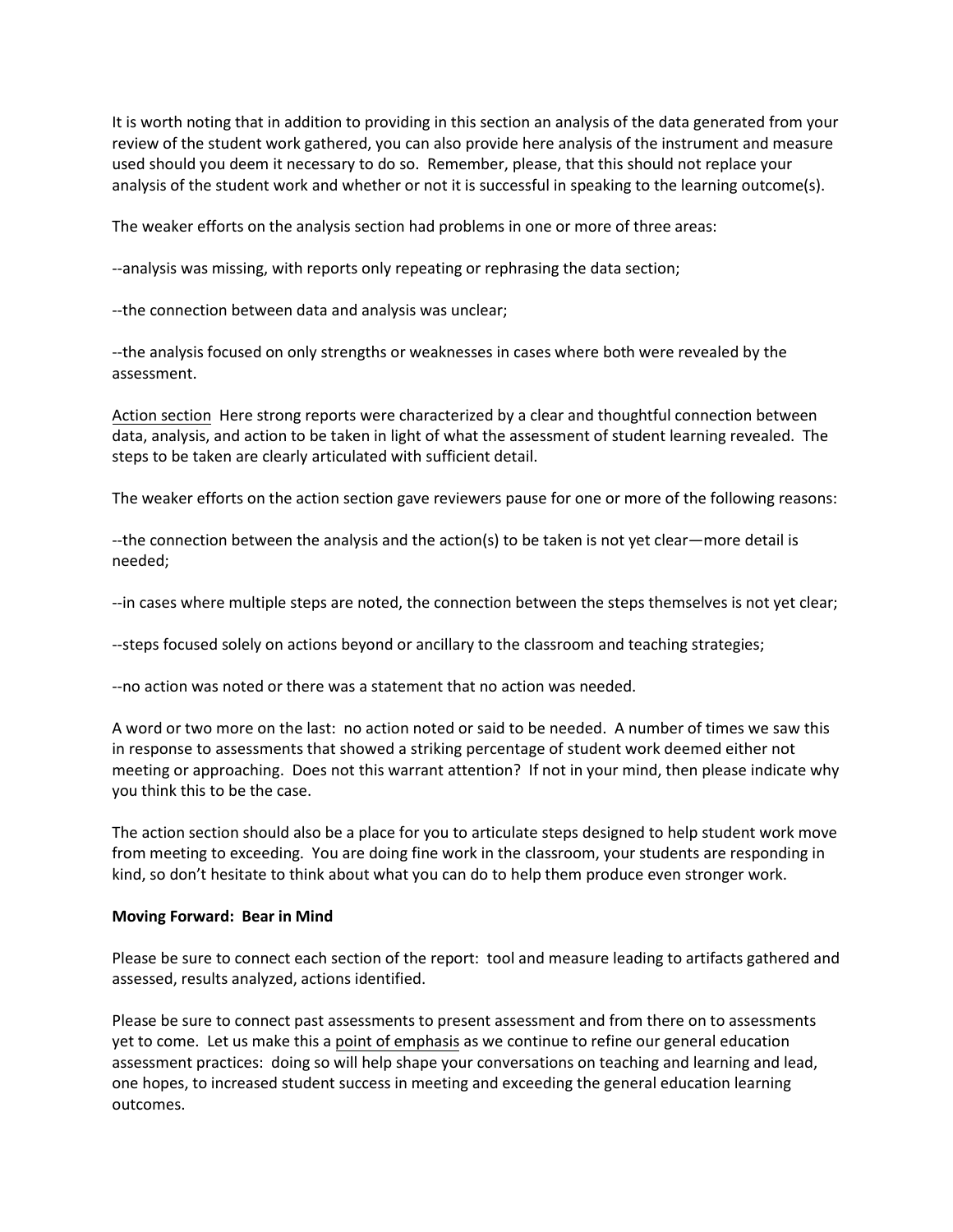It is worth noting that in addition to providing in this section an analysis of the data generated from your review of the student work gathered, you can also provide here analysis of the instrument and measure used should you deem it necessary to do so. Remember, please, that this should not replace your analysis of the student work and whether or not it is successful in speaking to the learning outcome(s).

The weaker efforts on the analysis section had problems in one or more of three areas:

--analysis was missing, with reports only repeating or rephrasing the data section;

--the connection between data and analysis was unclear;

--the analysis focused on only strengths or weaknesses in cases where both were revealed by the assessment.

Action section Here strong reports were characterized by a clear and thoughtful connection between data, analysis, and action to be taken in light of what the assessment of student learning revealed. The steps to be taken are clearly articulated with sufficient detail.

The weaker efforts on the action section gave reviewers pause for one or more of the following reasons:

--the connection between the analysis and the action(s) to be taken is not yet clear—more detail is needed;

--in cases where multiple steps are noted, the connection between the steps themselves is not yet clear;

--steps focused solely on actions beyond or ancillary to the classroom and teaching strategies;

--no action was noted or there was a statement that no action was needed.

A word or two more on the last: no action noted or said to be needed. A number of times we saw this in response to assessments that showed a striking percentage of student work deemed either not meeting or approaching. Does not this warrant attention? If not in your mind, then please indicate why you think this to be the case.

The action section should also be a place for you to articulate steps designed to help student work move from meeting to exceeding. You are doing fine work in the classroom, your students are responding in kind, so don't hesitate to think about what you can do to help them produce even stronger work.

#### **Moving Forward: Bear in Mind**

Please be sure to connect each section of the report: tool and measure leading to artifacts gathered and assessed, results analyzed, actions identified.

Please be sure to connect past assessments to present assessment and from there on to assessments yet to come. Let us make this a point of emphasis as we continue to refine our general education assessment practices: doing so will help shape your conversations on teaching and learning and lead, one hopes, to increased student success in meeting and exceeding the general education learning outcomes.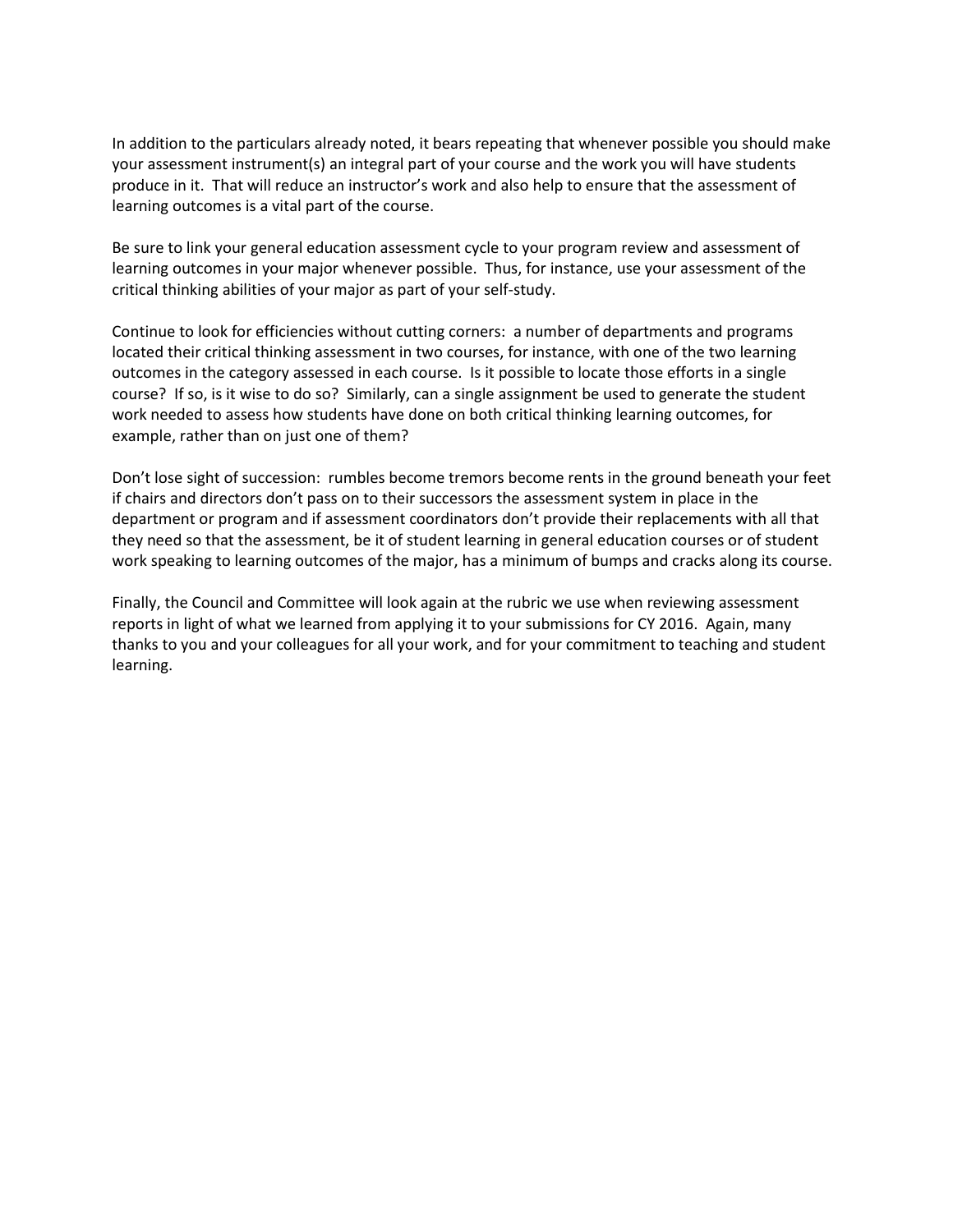In addition to the particulars already noted, it bears repeating that whenever possible you should make your assessment instrument(s) an integral part of your course and the work you will have students produce in it. That will reduce an instructor's work and also help to ensure that the assessment of learning outcomes is a vital part of the course.

Be sure to link your general education assessment cycle to your program review and assessment of learning outcomes in your major whenever possible. Thus, for instance, use your assessment of the critical thinking abilities of your major as part of your self-study.

Continue to look for efficiencies without cutting corners: a number of departments and programs located their critical thinking assessment in two courses, for instance, with one of the two learning outcomes in the category assessed in each course. Is it possible to locate those efforts in a single course? If so, is it wise to do so? Similarly, can a single assignment be used to generate the student work needed to assess how students have done on both critical thinking learning outcomes, for example, rather than on just one of them?

Don't lose sight of succession: rumbles become tremors become rents in the ground beneath your feet if chairs and directors don't pass on to their successors the assessment system in place in the department or program and if assessment coordinators don't provide their replacements with all that they need so that the assessment, be it of student learning in general education courses or of student work speaking to learning outcomes of the major, has a minimum of bumps and cracks along its course.

Finally, the Council and Committee will look again at the rubric we use when reviewing assessment reports in light of what we learned from applying it to your submissions for CY 2016. Again, many thanks to you and your colleagues for all your work, and for your commitment to teaching and student learning.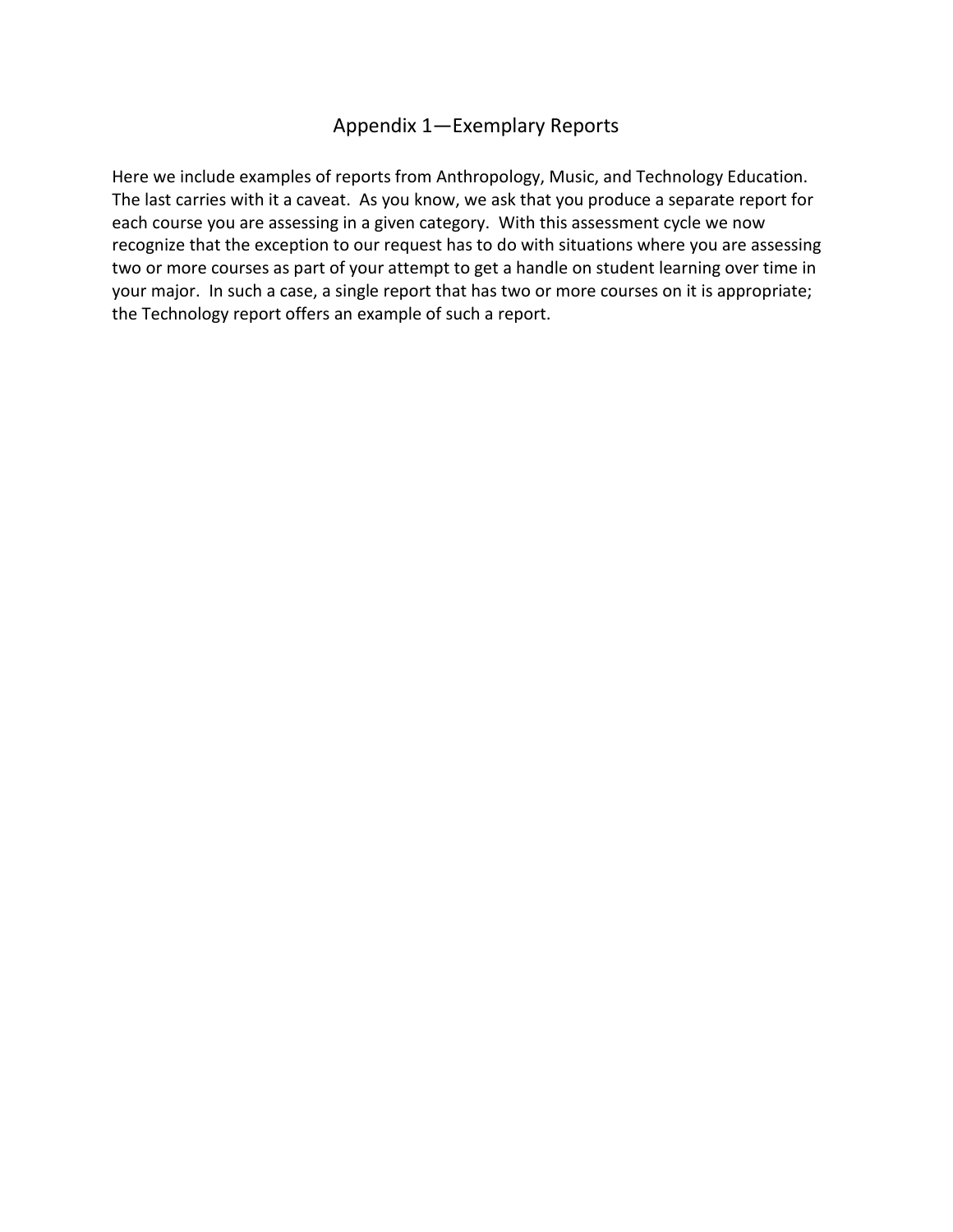## Appendix 1—Exemplary Reports

Here we include examples of reports from Anthropology, Music, and Technology Education. The last carries with it a caveat. As you know, we ask that you produce a separate report for each course you are assessing in a given category. With this assessment cycle we now recognize that the exception to our request has to do with situations where you are assessing two or more courses as part of your attempt to get a handle on student learning over time in your major. In such a case, a single report that has two or more courses on it is appropriate; the Technology report offers an example of such a report.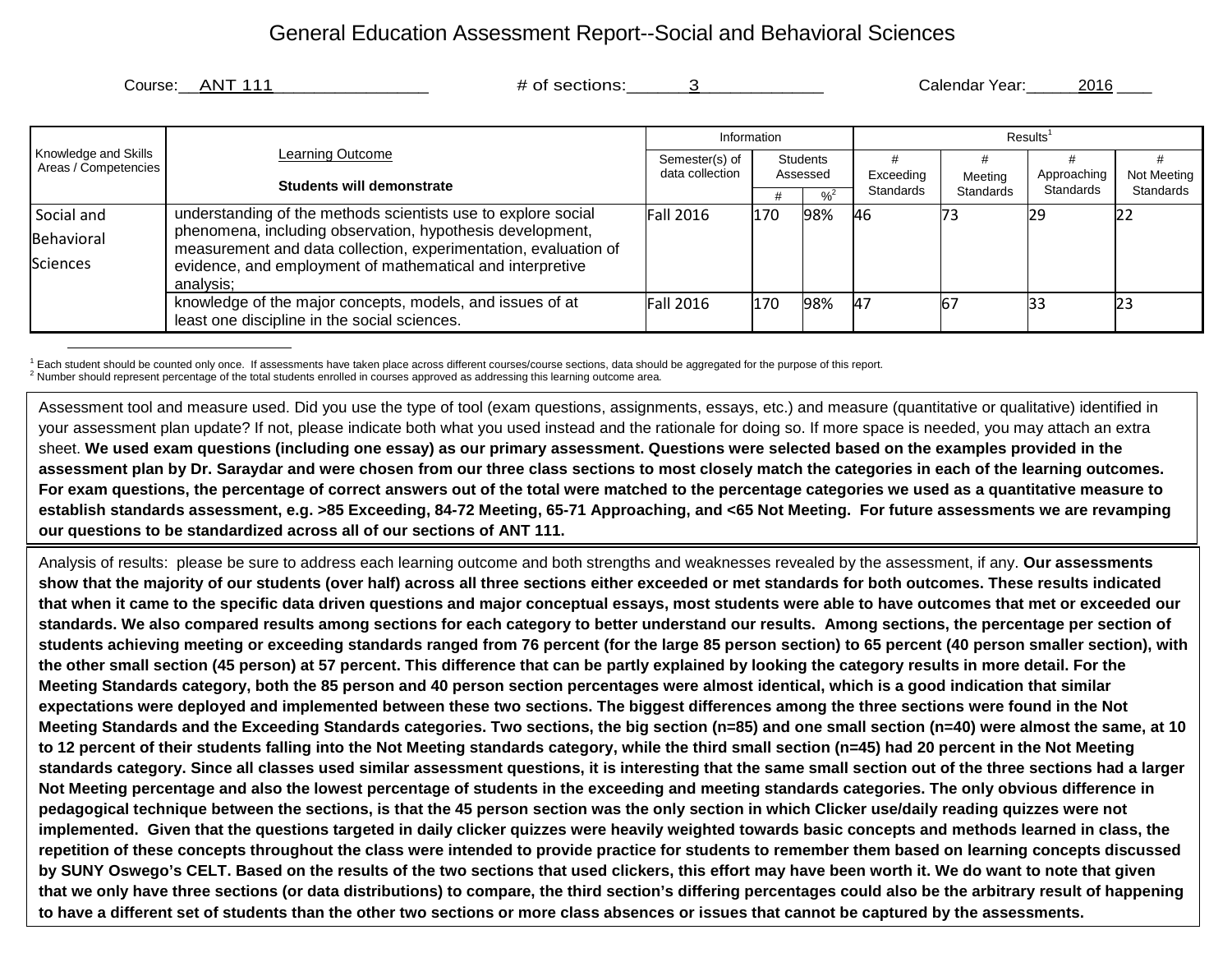## General Education Assessment Report--Social and Behavioral Sciences

Course: ANT 111 **Example 2016** # of sections:  $\frac{3}{4}$  3 and  $\frac{1}{4}$  Calendar Year: 2016

|                                              | Learning Outcome<br>Students will demonstrate                                                                                | Information      |                      |                            | Results <sup>1</sup>   |                      |                          |                          |  |
|----------------------------------------------|------------------------------------------------------------------------------------------------------------------------------|------------------|----------------------|----------------------------|------------------------|----------------------|--------------------------|--------------------------|--|
| Knowledge and Skills<br>Areas / Competencies |                                                                                                                              | Semester(s) of   | Students<br>Assessed |                            |                        |                      |                          |                          |  |
|                                              |                                                                                                                              | data collection  |                      |                            | Exceeding<br>Standards | Meeting<br>Standards | Approaching<br>Standards | Not Meeting<br>Standards |  |
|                                              |                                                                                                                              |                  |                      | $\frac{9}{6}$ <sup>2</sup> |                        |                      |                          |                          |  |
| Social and                                   | understanding of the methods scientists use to explore social                                                                | <b>Fall 2016</b> | 170                  | 98%                        | 46                     | 173                  | <b>29</b>                |                          |  |
| Behavioral                                   | phenomena, including observation, hypothesis development,<br>measurement and data collection, experimentation, evaluation of |                  |                      |                            |                        |                      |                          |                          |  |
| <b>Sciences</b>                              | evidence, and employment of mathematical and interpretive                                                                    |                  |                      |                            |                        |                      |                          |                          |  |
|                                              | analysis;                                                                                                                    |                  |                      |                            |                        |                      |                          |                          |  |
|                                              | knowledge of the major concepts, models, and issues of at                                                                    | <b>Fall 2016</b> | 170                  | 98%                        | <b>A7</b>              | 67                   | 33                       | 23                       |  |
|                                              | least one discipline in the social sciences.                                                                                 |                  |                      |                            |                        |                      |                          |                          |  |

 $1$  Each student should be counted only once. If assessments have taken place across different courses/course sections, data should be aggregated for the purpose of this report.<br><sup>2</sup> Number should represent percentage of t

Assessment tool and measure used. Did you use the type of tool (exam questions, assignments, essays, etc.) and measure (quantitative or qualitative) identified in your assessment plan update? If not, please indicate both what you used instead and the rationale for doing so. If more space is needed, you may attach an extra sheet. **We used exam questions (including one essay) as our primary assessment. Questions were selected based on the examples provided in the assessment plan by Dr. Saraydar and were chosen from our three class sections to most closely match the categories in each of the learning outcomes. For exam questions, the percentage of correct answers out of the total were matched to the percentage categories we used as a quantitative measure to establish standards assessment, e.g. >85 Exceeding, 84-72 Meeting, 65-71 Approaching, and <65 Not Meeting. For future assessments we are revamping our questions to be standardized across all of our sections of ANT 111.**

Analysis of results: please be sure to address each learning outcome and both strengths and weaknesses revealed by the assessment, if any. **Our assessments show that the majority of our students (over half) across all three sections either exceeded or met standards for both outcomes. These results indicated that when it came to the specific data driven questions and major conceptual essays, most students were able to have outcomes that met or exceeded our standards. We also compared results among sections for each category to better understand our results. Among sections, the percentage per section of students achieving meeting or exceeding standards ranged from 76 percent (for the large 85 person section) to 65 percent (40 person smaller section), with the other small section (45 person) at 57 percent. This difference that can be partly explained by looking the category results in more detail. For the Meeting Standards category, both the 85 person and 40 person section percentages were almost identical, which is a good indication that similar expectations were deployed and implemented between these two sections. The biggest differences among the three sections were found in the Not**  Meeting Standards and the Exceeding Standards categories. Two sections, the big section (n=85) and one small section (n=40) were almost the same, at 10 **to 12 percent of their students falling into the Not Meeting standards category, while the third small section (n=45) had 20 percent in the Not Meeting standards category. Since all classes used similar assessment questions, it is interesting that the same small section out of the three sections had a larger Not Meeting percentage and also the lowest percentage of students in the exceeding and meeting standards categories. The only obvious difference in pedagogical technique between the sections, is that the 45 person section was the only section in which Clicker use/daily reading quizzes were not implemented. Given that the questions targeted in daily clicker quizzes were heavily weighted towards basic concepts and methods learned in class, the repetition of these concepts throughout the class were intended to provide practice for students to remember them based on learning concepts discussed by SUNY Oswego's CELT. Based on the results of the two sections that used clickers, this effort may have been worth it. We do want to note that given that we only have three sections (or data distributions) to compare, the third section's differing percentages could also be the arbitrary result of happening to have a different set of students than the other two sections or more class absences or issues that cannot be captured by the assessments.**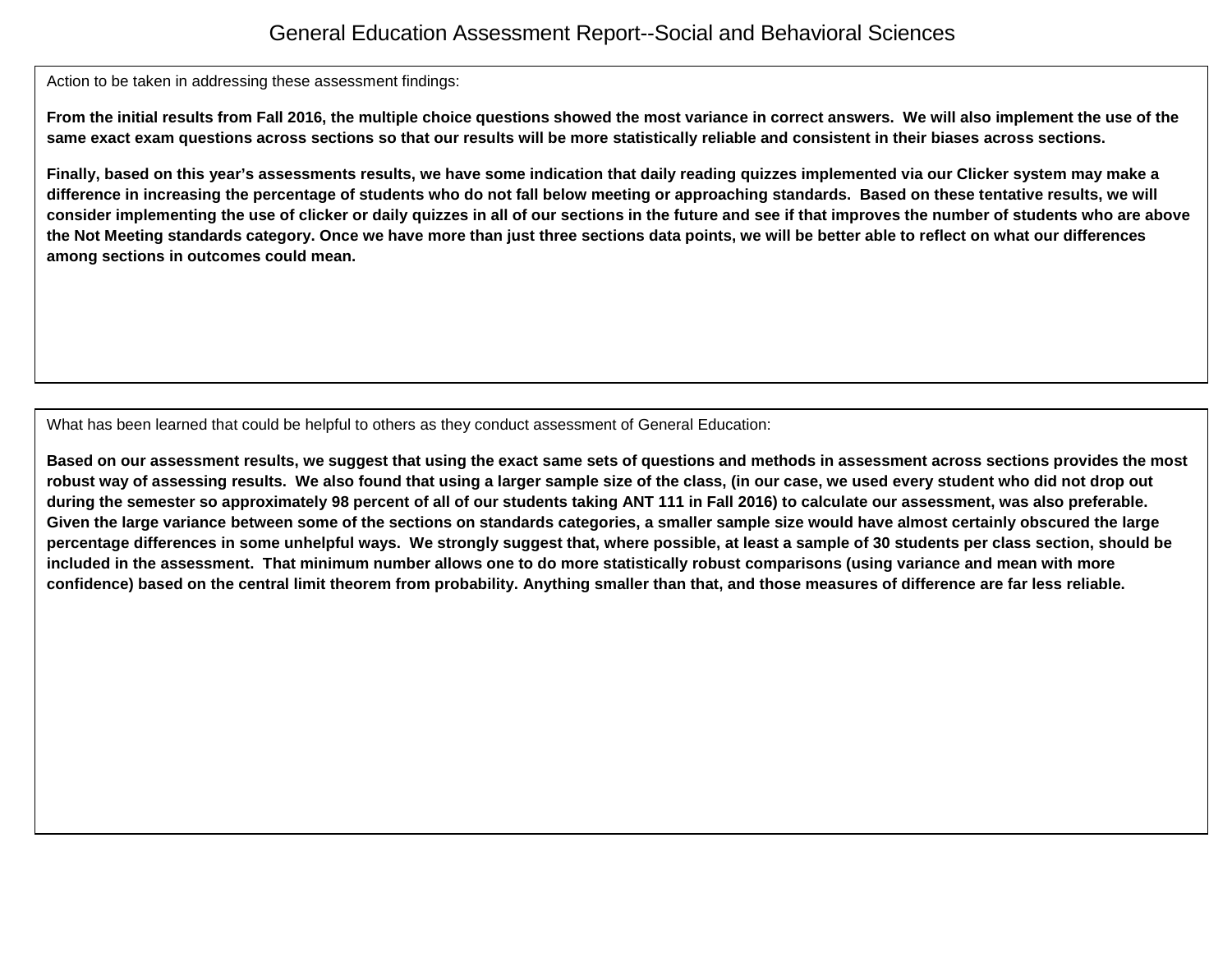## General Education Assessment Report--Social and Behavioral Sciences

Action to be taken in addressing these assessment findings:

**From the initial results from Fall 2016, the multiple choice questions showed the most variance in correct answers. We will also implement the use of the same exact exam questions across sections so that our results will be more statistically reliable and consistent in their biases across sections.**

**Finally, based on this year's assessments results, we have some indication that daily reading quizzes implemented via our Clicker system may make a difference in increasing the percentage of students who do not fall below meeting or approaching standards. Based on these tentative results, we will consider implementing the use of clicker or daily quizzes in all of our sections in the future and see if that improves the number of students who are above the Not Meeting standards category. Once we have more than just three sections data points, we will be better able to reflect on what our differences among sections in outcomes could mean.**

What has been learned that could be helpful to others as they conduct assessment of General Education:

**Based on our assessment results, we suggest that using the exact same sets of questions and methods in assessment across sections provides the most robust way of assessing results. We also found that using a larger sample size of the class, (in our case, we used every student who did not drop out during the semester so approximately 98 percent of all of our students taking ANT 111 in Fall 2016) to calculate our assessment, was also preferable. Given the large variance between some of the sections on standards categories, a smaller sample size would have almost certainly obscured the large percentage differences in some unhelpful ways. We strongly suggest that, where possible, at least a sample of 30 students per class section, should be included in the assessment. That minimum number allows one to do more statistically robust comparisons (using variance and mean with more confidence) based on the central limit theorem from probability. Anything smaller than that, and those measures of difference are far less reliable.**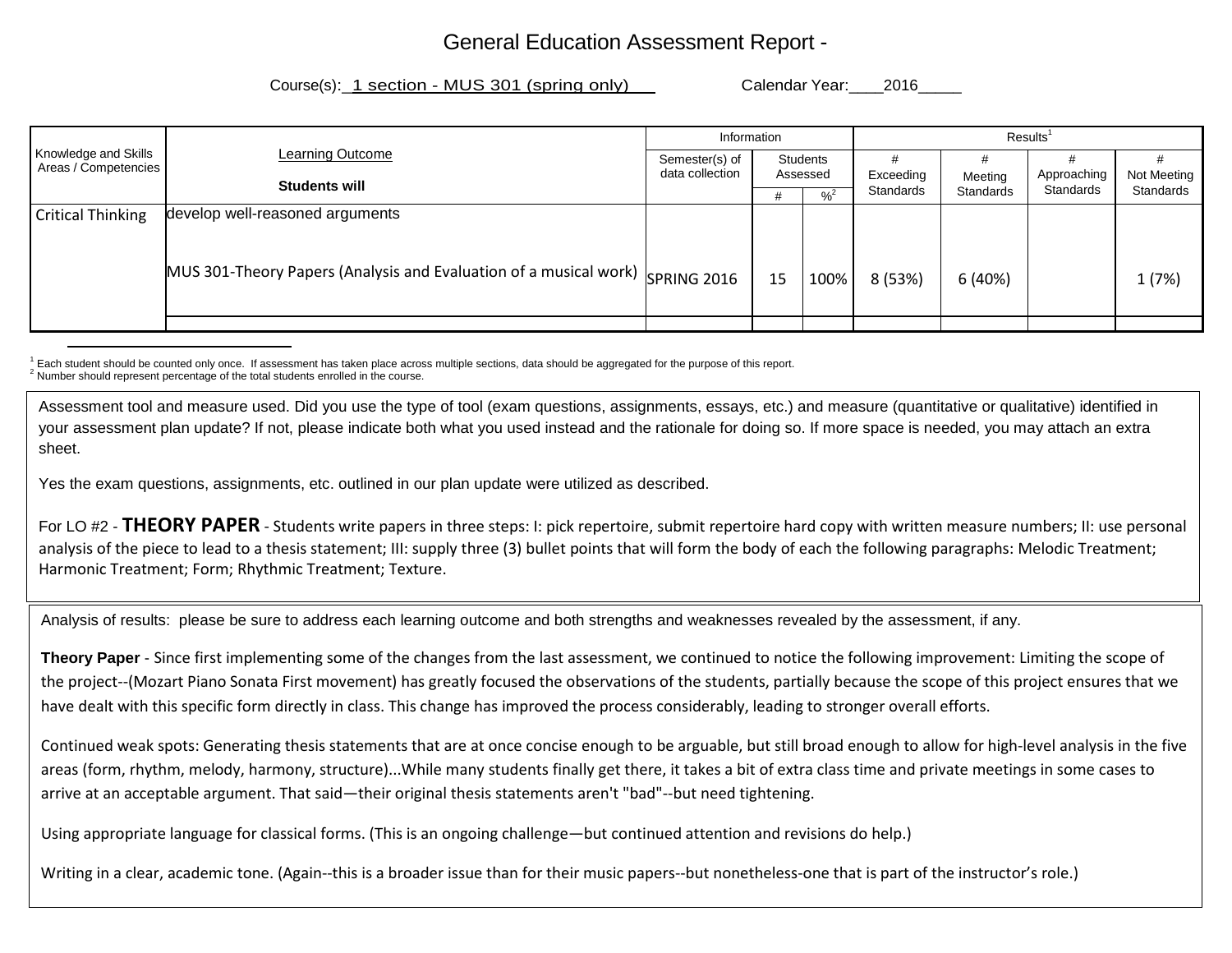## General Education Assessment Report -

Course(s): 1 section - MUS 301 (spring only) Calendar Year: 2016

|                                              |                                                                                           | Information                 |    |                            | Results <sup>1</sup> |             |             |           |  |
|----------------------------------------------|-------------------------------------------------------------------------------------------|-----------------------------|----|----------------------------|----------------------|-------------|-------------|-----------|--|
| Knowledge and Skills<br>Areas / Competencies | Learning Outcome                                                                          | Semester(s) of              |    | Students                   |                      |             |             |           |  |
|                                              | <b>Students will</b>                                                                      | data collection<br>Assessed |    | Exceeding                  | Meeting              | Approaching | Not Meeting |           |  |
|                                              |                                                                                           |                             |    | $\frac{9}{6}$ <sup>2</sup> | Standards            | Standards   | Standards   | Standards |  |
| <b>Critical Thinking</b>                     | develop well-reasoned arguments                                                           |                             |    |                            |                      |             |             |           |  |
|                                              | MUS 301-Theory Papers (Analysis and Evaluation of a musical work) $\frac{1}{SPRING}$ 2016 |                             | 15 | 100%                       | 8 (53%)              | 6(40%)      |             | 1(7%)     |  |
|                                              |                                                                                           |                             |    |                            |                      |             |             |           |  |

 $1$  Each student should be counted only once. If assessment has taken place across multiple sections, data should be aggregated for the purpose of this report.<br><sup>2</sup> Number should represent percentage of the total students

Assessment tool and measure used. Did you use the type of tool (exam questions, assignments, essays, etc.) and measure (quantitative or qualitative) identified in your assessment plan update? If not, please indicate both what you used instead and the rationale for doing so. If more space is needed, you may attach an extra sheet.

Yes the exam questions, assignments, etc. outlined in our plan update were utilized as described.

For LO #2 - **THEORY PAPER** - Students write papers in three steps: I: pick repertoire, submit repertoire hard copy with written measure numbers; II: use personal analysis of the piece to lead to a thesis statement; III: supply three (3) bullet points that will form the body of each the following paragraphs: Melodic Treatment; Harmonic Treatment; Form; Rhythmic Treatment; Texture.

Analysis of results: please be sure to address each learning outcome and both strengths and weaknesses revealed by the assessment, if any.

**Theory Paper** - Since first implementing some of the changes from the last assessment, we continued to notice the following improvement: Limiting the scope of the project--(Mozart Piano Sonata First movement) has greatly focused the observations of the students, partially because the scope of this project ensures that we have dealt with this specific form directly in class. This change has improved the process considerably, leading to stronger overall efforts.

Continued weak spots: Generating thesis statements that are at once concise enough to be arguable, but still broad enough to allow for high-level analysis in the five areas (form, rhythm, melody, harmony, structure)...While many students finally get there, it takes a bit of extra class time and private meetings in some cases to arrive at an acceptable argument. That said—their original thesis statements aren't "bad"--but need tightening.

Using appropriate language for classical forms. (This is an ongoing challenge—but continued attention and revisions do help.)

Writing in a clear, academic tone. (Again--this is a broader issue than for their music papers--but nonetheless-one that is part of the instructor's role.)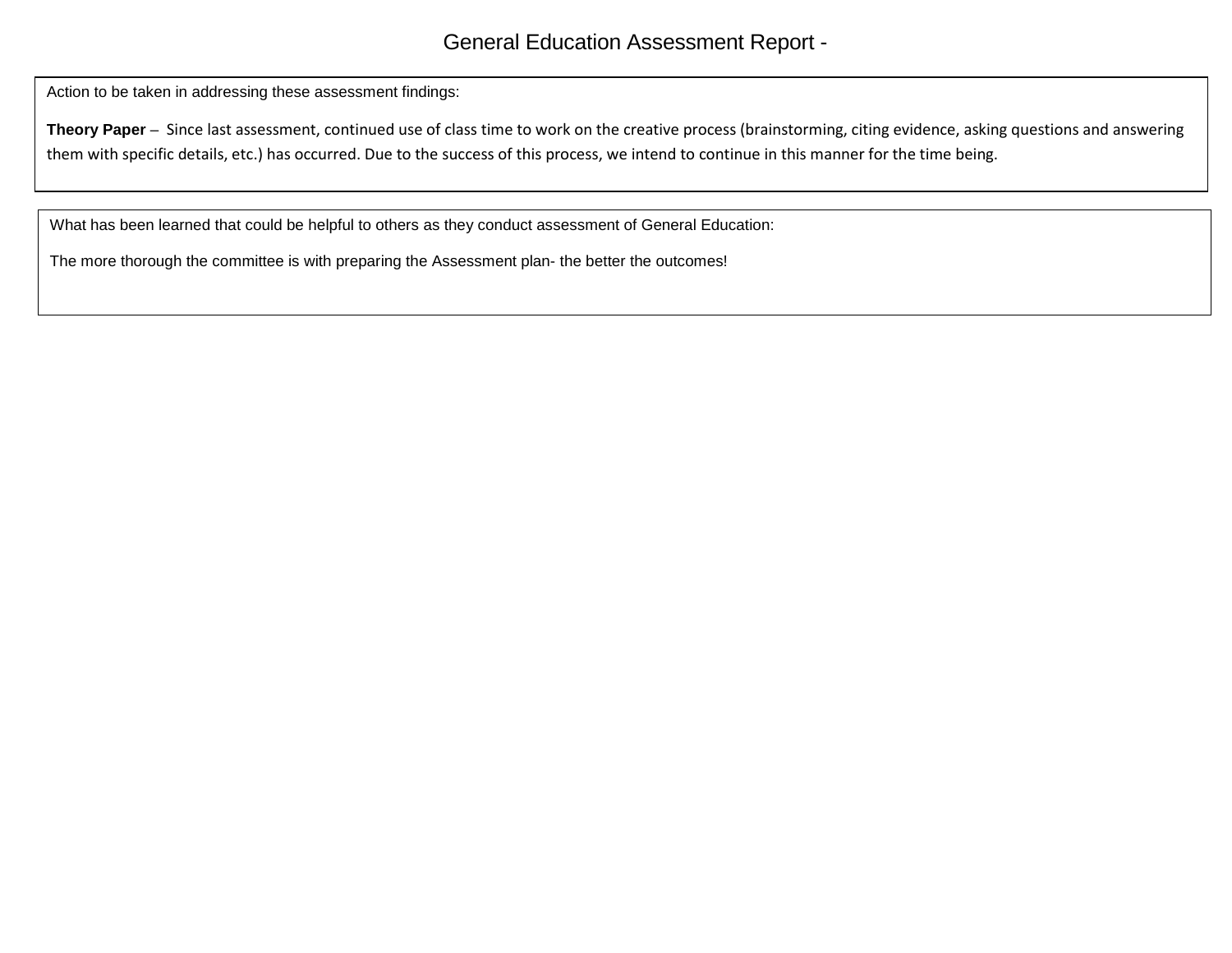Action to be taken in addressing these assessment findings:

**Theory Paper** – Since last assessment, continued use of class time to work on the creative process (brainstorming, citing evidence, asking questions and answering them with specific details, etc.) has occurred. Due to the success of this process, we intend to continue in this manner for the time being.

What has been learned that could be helpful to others as they conduct assessment of General Education:

The more thorough the committee is with preparing the Assessment plan- the better the outcomes!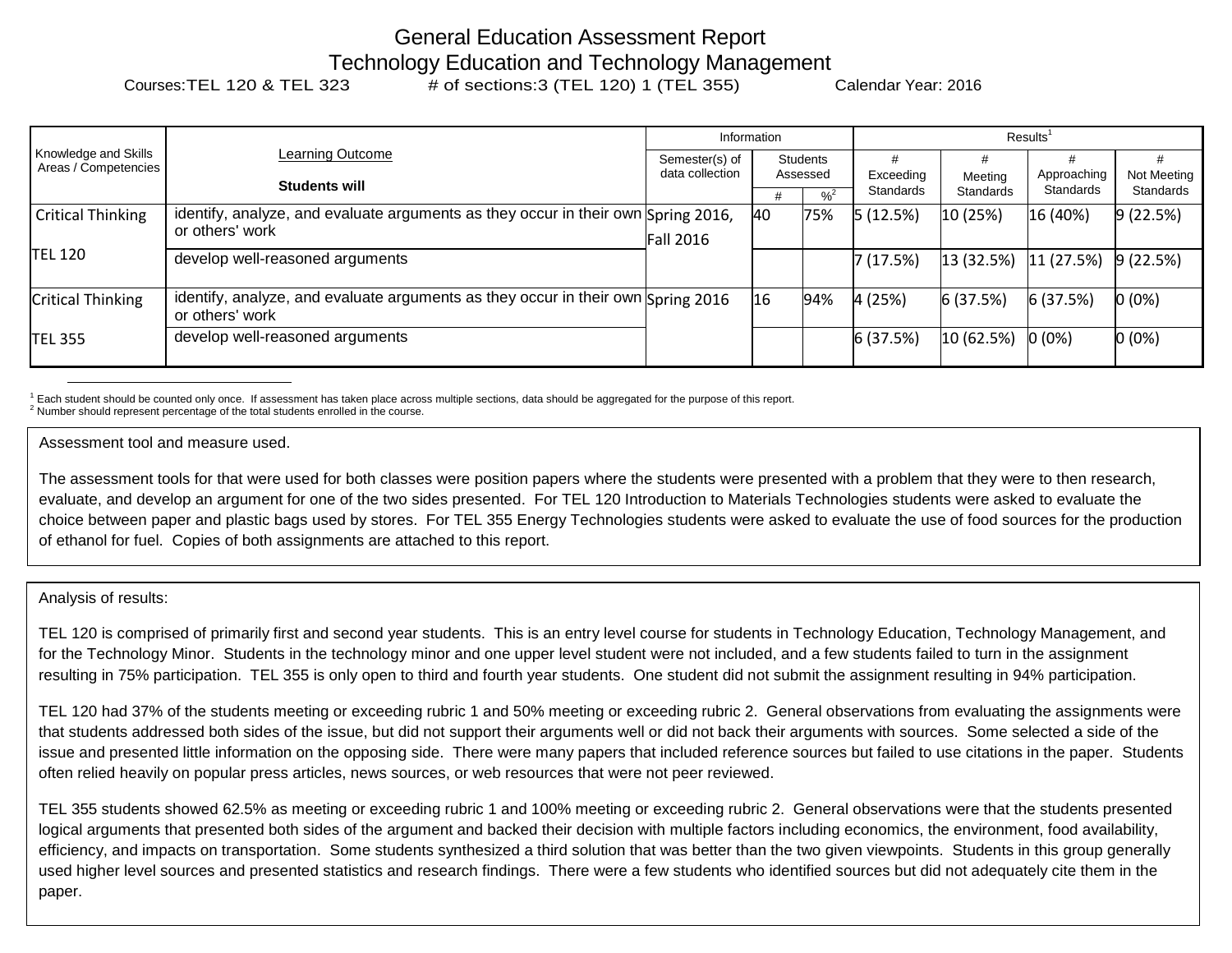# General Education Assessment Report Technology Education and Technology Management<br>Courses:TEL 120 & TEL 323 # of sections:3 (TEL 120) 1 (TEL 355) Calendar Year: 2016

| Knowledge and Skills<br>Areas / Competencies | Learning Outcome                                                                                     |                | Information                                               |                        | Results <sup>1</sup> |                          |                          |          |  |
|----------------------------------------------|------------------------------------------------------------------------------------------------------|----------------|-----------------------------------------------------------|------------------------|----------------------|--------------------------|--------------------------|----------|--|
|                                              |                                                                                                      | Semester(s) of | <b>Students</b>                                           |                        |                      |                          |                          |          |  |
|                                              | <b>Students will</b>                                                                                 |                | data collection<br>Assessed<br>$\frac{9}{6}$ <sup>2</sup> | Exceeding<br>Standards | Meeting<br>Standards | Approaching<br>Standards | Not Meeting<br>Standards |          |  |
| <b>Critical Thinking</b>                     | identify, analyze, and evaluate arguments as they occur in their own Spring 2016,<br>or others' work | Fall 2016      | 40                                                        | 75%                    | 5(12.5%)             | 10 (25%)                 | 16(40%)                  | 9(22.5%) |  |
| <b>TEL 120</b>                               | develop well-reasoned arguments                                                                      |                |                                                           |                        | 7(17.5%)             | 13 (32.5%)               | 11(27.5%)                | 9(22.5%) |  |
| <b>Critical Thinking</b>                     | identify, analyze, and evaluate arguments as they occur in their own Spring 2016<br>or others' work  |                | 16                                                        | 94%                    | 4(25%)               | 6(37.5%)                 | 6(37.5%)                 | $0(0\%)$ |  |
| <b>TEL 355</b>                               | develop well-reasoned arguments                                                                      |                |                                                           |                        | 6(37.5%)             | 10(62.5%)                | $0(0\%)$                 | $0(0\%)$ |  |

 $^1$  Each student should be counted only once. If assessment has taken place across multiple sections, data should be aggregated for the purpose of this report.<br><sup>2</sup> Number should represent percentage of the total students

Assessment tool and measure used.

The assessment tools for that were used for both classes were position papers where the students were presented with a problem that they were to then research, evaluate, and develop an argument for one of the two sides presented. For TEL 120 Introduction to Materials Technologies students were asked to evaluate the choice between paper and plastic bags used by stores. For TEL 355 Energy Technologies students were asked to evaluate the use of food sources for the production of ethanol for fuel. Copies of both assignments are attached to this report.

Analysis of results:

TEL 120 is comprised of primarily first and second year students. This is an entry level course for students in Technology Education, Technology Management, and for the Technology Minor. Students in the technology minor and one upper level student were not included, and a few students failed to turn in the assignment resulting in 75% participation. TEL 355 is only open to third and fourth year students. One student did not submit the assignment resulting in 94% participation.

TEL 120 had 37% of the students meeting or exceeding rubric 1 and 50% meeting or exceeding rubric 2. General observations from evaluating the assignments were that students addressed both sides of the issue, but did not support their arguments well or did not back their arguments with sources. Some selected a side of the issue and presented little information on the opposing side. There were many papers that included reference sources but failed to use citations in the paper. Students often relied heavily on popular press articles, news sources, or web resources that were not peer reviewed.

TEL 355 students showed 62.5% as meeting or exceeding rubric 1 and 100% meeting or exceeding rubric 2. General observations were that the students presented logical arguments that presented both sides of the argument and backed their decision with multiple factors including economics, the environment, food availability, efficiency, and impacts on transportation. Some students synthesized a third solution that was better than the two given viewpoints. Students in this group generally used higher level sources and presented statistics and research findings. There were a few students who identified sources but did not adequately cite them in the paper.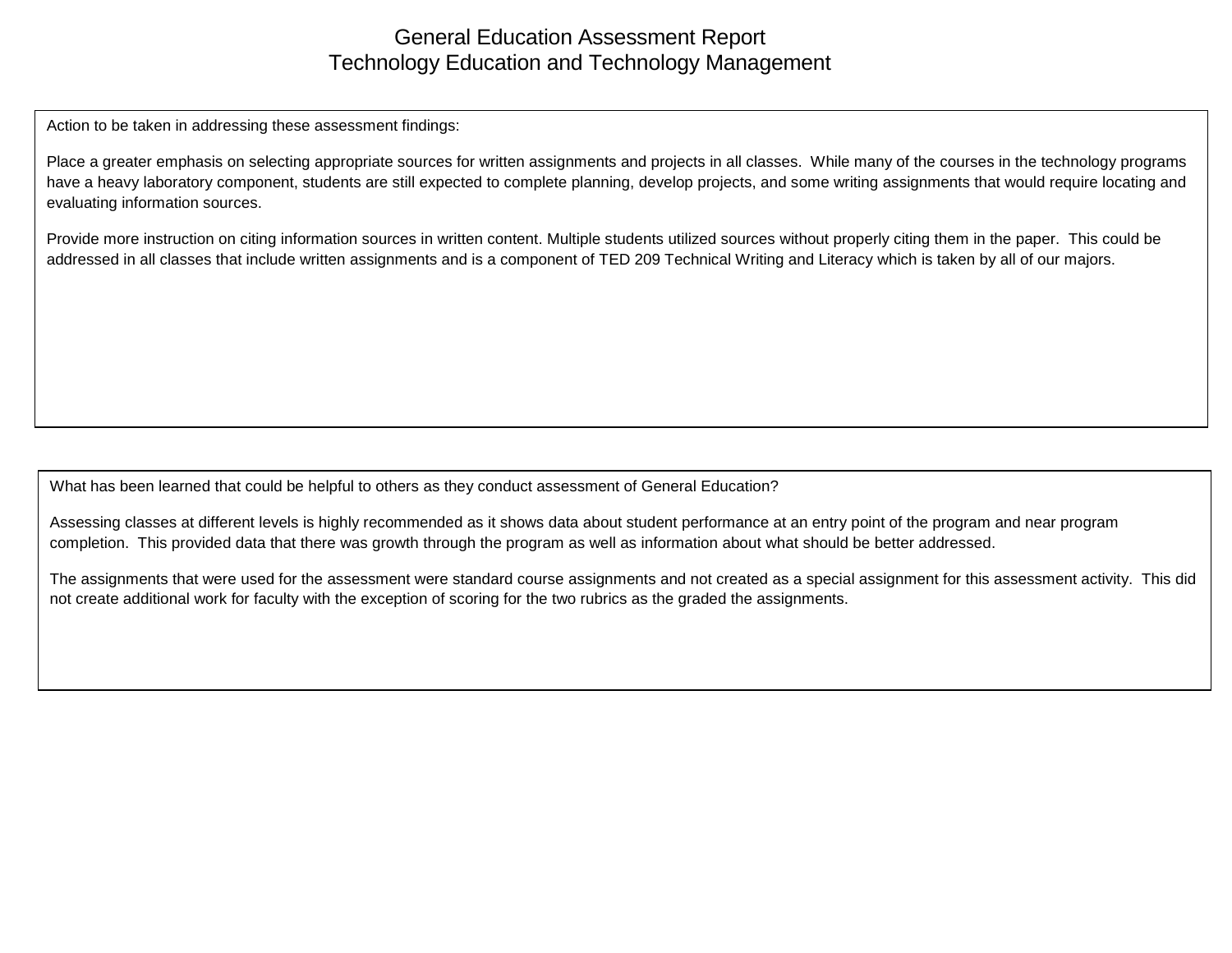## General Education Assessment Report Technology Education and Technology Management

Action to be taken in addressing these assessment findings:

Place a greater emphasis on selecting appropriate sources for written assignments and projects in all classes. While many of the courses in the technology programs have a heavy laboratory component, students are still expected to complete planning, develop projects, and some writing assignments that would require locating and evaluating information sources.

Provide more instruction on citing information sources in written content. Multiple students utilized sources without properly citing them in the paper. This could be addressed in all classes that include written assignments and is a component of TED 209 Technical Writing and Literacy which is taken by all of our majors.

What has been learned that could be helpful to others as they conduct assessment of General Education?

Assessing classes at different levels is highly recommended as it shows data about student performance at an entry point of the program and near program completion. This provided data that there was growth through the program as well as information about what should be better addressed.

The assignments that were used for the assessment were standard course assignments and not created as a special assignment for this assessment activity. This did not create additional work for faculty with the exception of scoring for the two rubrics as the graded the assignments.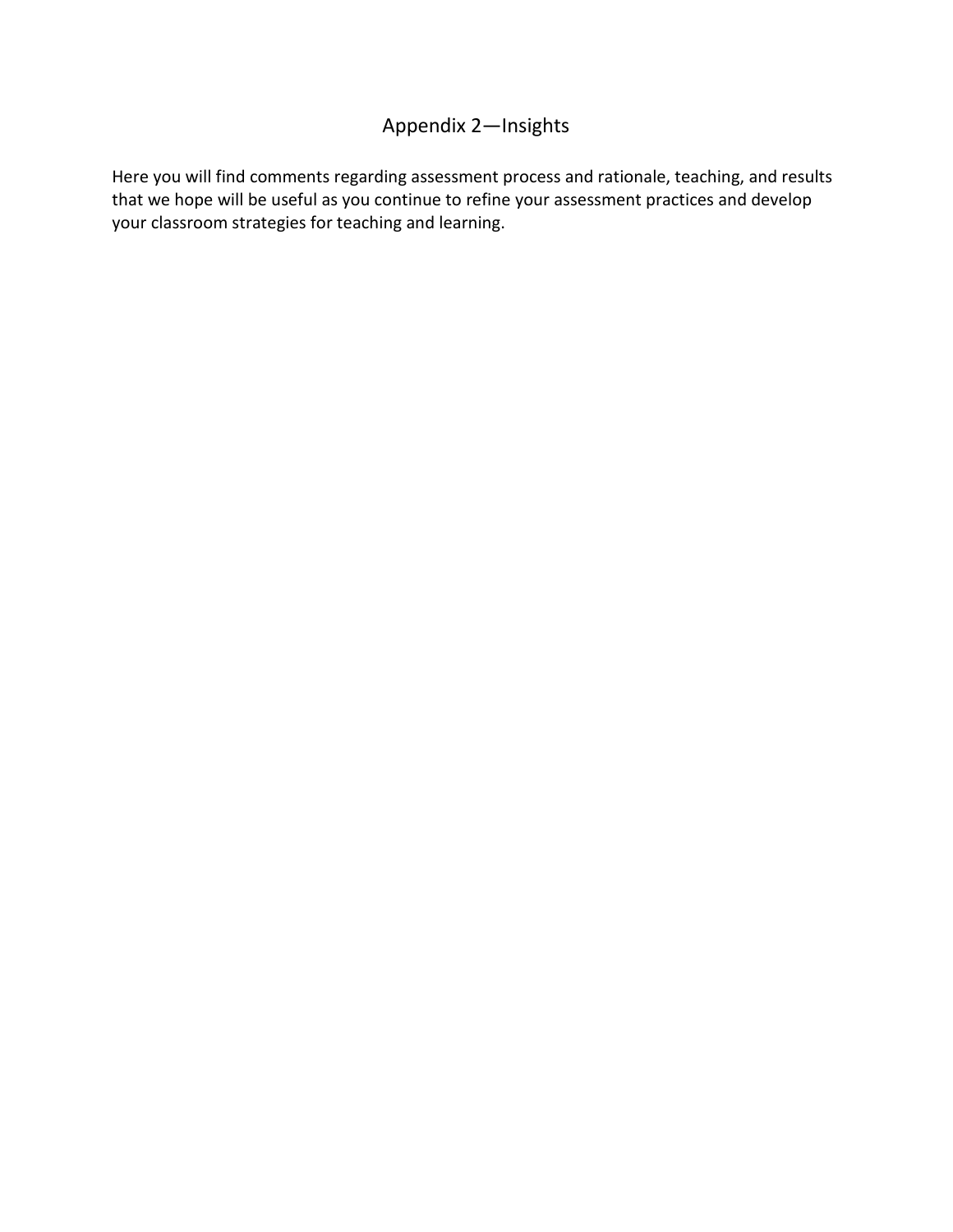## Appendix 2—Insights

Here you will find comments regarding assessment process and rationale, teaching, and results that we hope will be useful as you continue to refine your assessment practices and develop your classroom strategies for teaching and learning.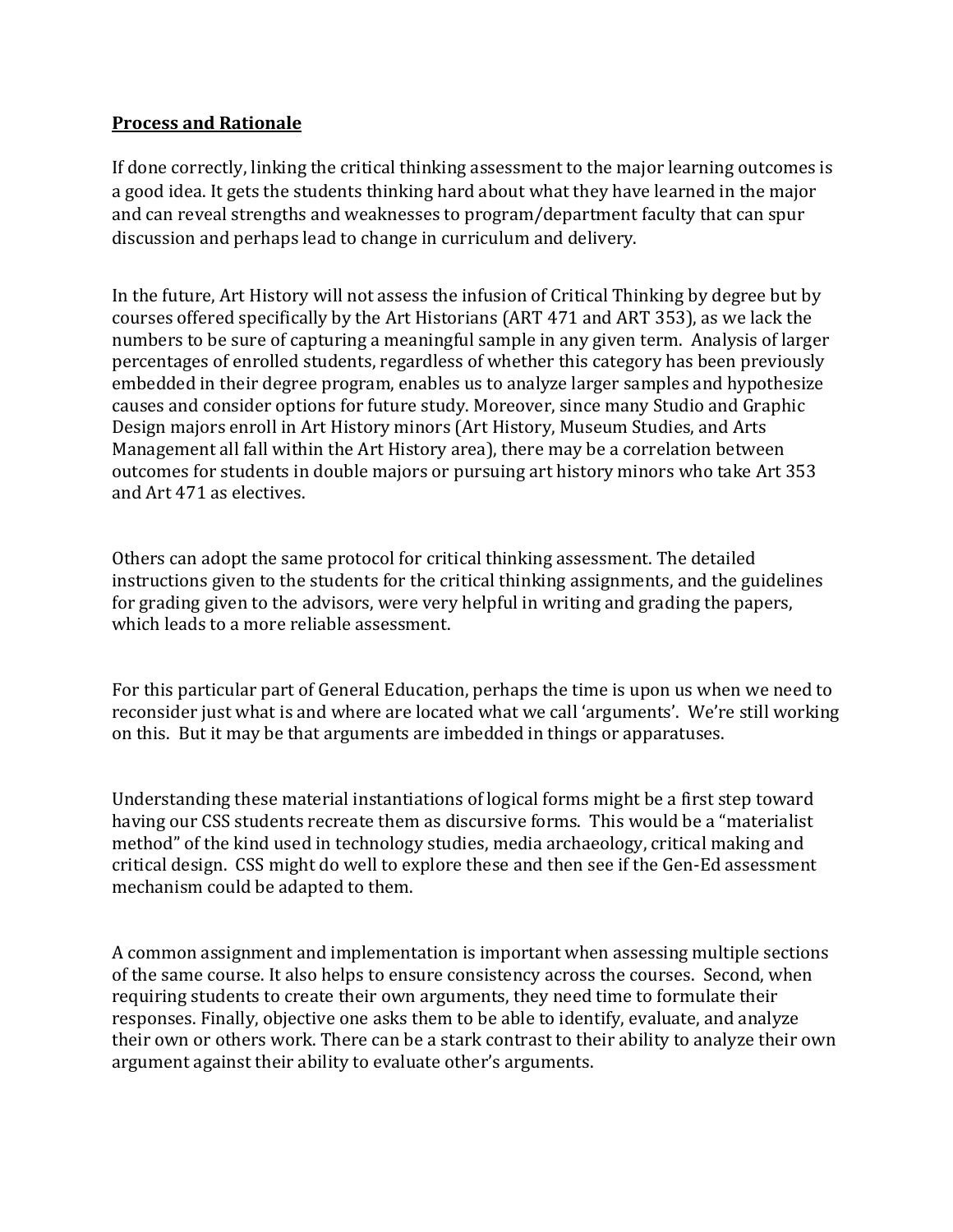### **Process and Rationale**

If done correctly, linking the critical thinking assessment to the major learning outcomes is a good idea. It gets the students thinking hard about what they have learned in the major and can reveal strengths and weaknesses to program/department faculty that can spur discussion and perhaps lead to change in curriculum and delivery.

In the future, Art History will not assess the infusion of Critical Thinking by degree but by courses offered specifically by the Art Historians (ART 471 and ART 353), as we lack the numbers to be sure of capturing a meaningful sample in any given term. Analysis of larger percentages of enrolled students, regardless of whether this category has been previously embedded in their degree program, enables us to analyze larger samples and hypothesize causes and consider options for future study. Moreover, since many Studio and Graphic Design majors enroll in Art History minors (Art History, Museum Studies, and Arts Management all fall within the Art History area), there may be a correlation between outcomes for students in double majors or pursuing art history minors who take Art 353 and Art 471 as electives.

Others can adopt the same protocol for critical thinking assessment. The detailed instructions given to the students for the critical thinking assignments, and the guidelines for grading given to the advisors, were very helpful in writing and grading the papers, which leads to a more reliable assessment.

For this particular part of General Education, perhaps the time is upon us when we need to reconsider just what is and where are located what we call 'arguments'. We're still working on this. But it may be that arguments are imbedded in things or apparatuses.

Understanding these material instantiations of logical forms might be a first step toward having our CSS students recreate them as discursive forms. This would be a "materialist method" of the kind used in technology studies, media archaeology, critical making and critical design. CSS might do well to explore these and then see if the Gen-Ed assessment mechanism could be adapted to them.

A common assignment and implementation is important when assessing multiple sections of the same course. It also helps to ensure consistency across the courses. Second, when requiring students to create their own arguments, they need time to formulate their responses. Finally, objective one asks them to be able to identify, evaluate, and analyze their own or others work. There can be a stark contrast to their ability to analyze their own argument against their ability to evaluate other's arguments.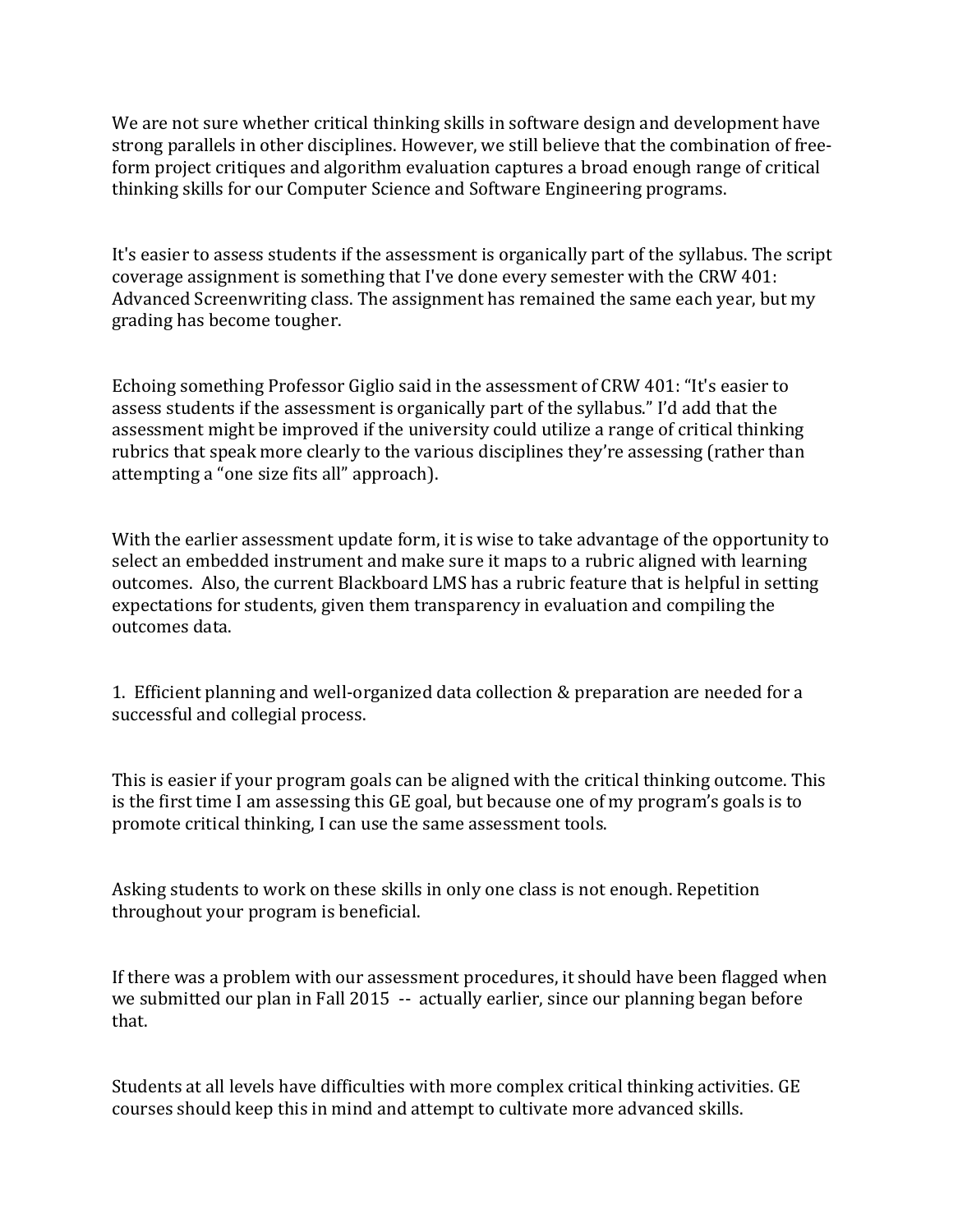We are not sure whether critical thinking skills in software design and development have strong parallels in other disciplines. However, we still believe that the combination of freeform project critiques and algorithm evaluation captures a broad enough range of critical thinking skills for our Computer Science and Software Engineering programs.

It's easier to assess students if the assessment is organically part of the syllabus. The script coverage assignment is something that I've done every semester with the CRW 401: Advanced Screenwriting class. The assignment has remained the same each year, but my grading has become tougher.

Echoing something Professor Giglio said in the assessment of CRW 401: "It's easier to assess students if the assessment is organically part of the syllabus." I'd add that the assessment might be improved if the university could utilize a range of critical thinking rubrics that speak more clearly to the various disciplines they're assessing (rather than attempting a "one size fits all" approach).

With the earlier assessment update form, it is wise to take advantage of the opportunity to select an embedded instrument and make sure it maps to a rubric aligned with learning outcomes. Also, the current Blackboard LMS has a rubric feature that is helpful in setting expectations for students, given them transparency in evaluation and compiling the outcomes data.

1. Efficient planning and well-organized data collection & preparation are needed for a successful and collegial process.

This is easier if your program goals can be aligned with the critical thinking outcome. This is the first time I am assessing this GE goal, but because one of my program's goals is to promote critical thinking, I can use the same assessment tools.

Asking students to work on these skills in only one class is not enough. Repetition throughout your program is beneficial.

If there was a problem with our assessment procedures, it should have been flagged when we submitted our plan in Fall 2015 -- actually earlier, since our planning began before that.

Students at all levels have difficulties with more complex critical thinking activities. GE courses should keep this in mind and attempt to cultivate more advanced skills.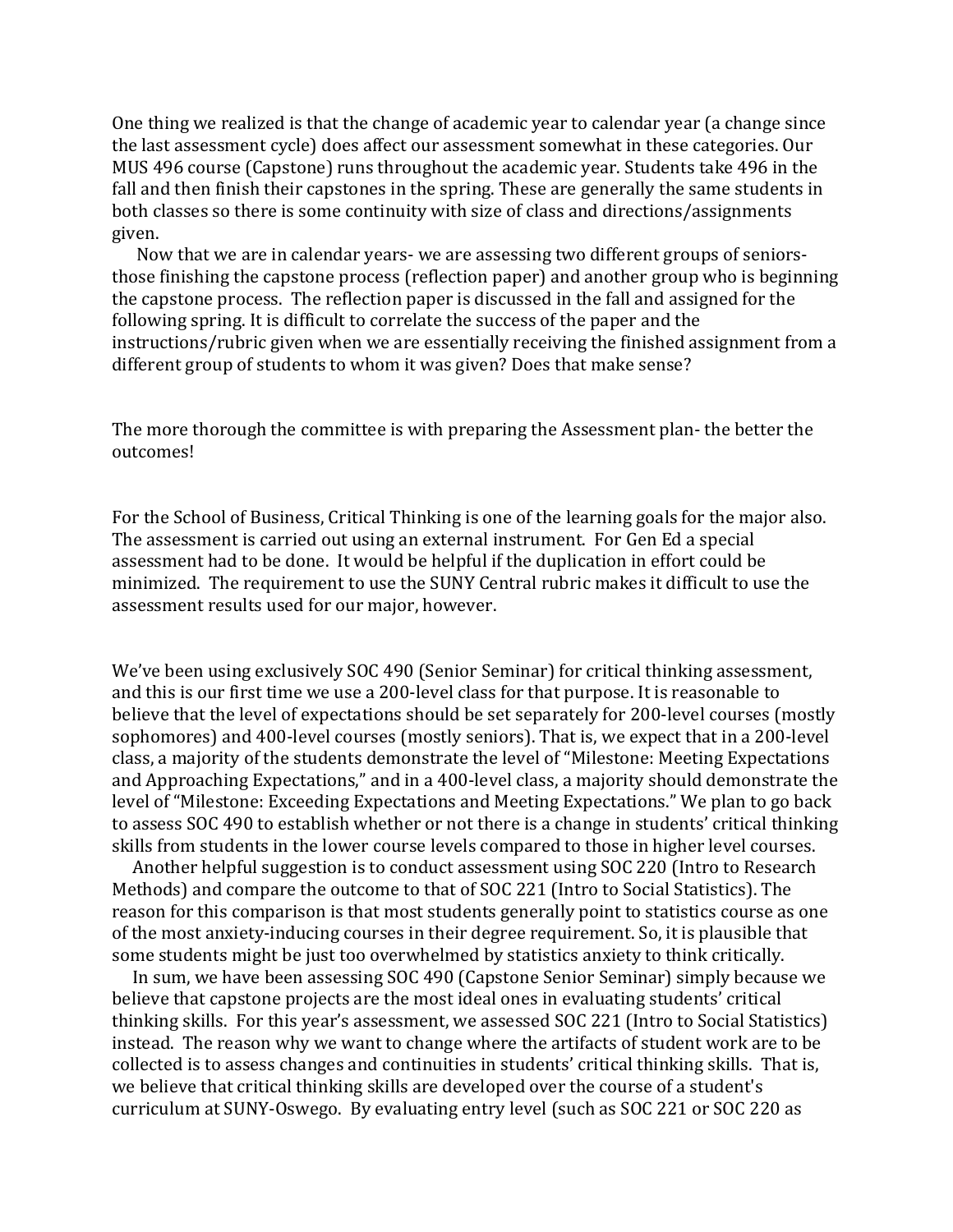One thing we realized is that the change of academic year to calendar year (a change since the last assessment cycle) does affect our assessment somewhat in these categories. Our MUS 496 course (Capstone) runs throughout the academic year. Students take 496 in the fall and then finish their capstones in the spring. These are generally the same students in both classes so there is some continuity with size of class and directions/assignments given.

 Now that we are in calendar years- we are assessing two different groups of seniorsthose finishing the capstone process (reflection paper) and another group who is beginning the capstone process. The reflection paper is discussed in the fall and assigned for the following spring. It is difficult to correlate the success of the paper and the instructions/rubric given when we are essentially receiving the finished assignment from a different group of students to whom it was given? Does that make sense?

The more thorough the committee is with preparing the Assessment plan- the better the outcomes!

For the School of Business, Critical Thinking is one of the learning goals for the major also. The assessment is carried out using an external instrument. For Gen Ed a special assessment had to be done. It would be helpful if the duplication in effort could be minimized. The requirement to use the SUNY Central rubric makes it difficult to use the assessment results used for our major, however.

We've been using exclusively SOC 490 (Senior Seminar) for critical thinking assessment, and this is our first time we use a 200-level class for that purpose. It is reasonable to believe that the level of expectations should be set separately for 200-level courses (mostly sophomores) and 400-level courses (mostly seniors). That is, we expect that in a 200-level class, a majority of the students demonstrate the level of "Milestone: Meeting Expectations and Approaching Expectations," and in a 400-level class, a majority should demonstrate the level of "Milestone: Exceeding Expectations and Meeting Expectations." We plan to go back to assess SOC 490 to establish whether or not there is a change in students' critical thinking skills from students in the lower course levels compared to those in higher level courses.

 Another helpful suggestion is to conduct assessment using SOC 220 (Intro to Research Methods) and compare the outcome to that of SOC 221 (Intro to Social Statistics). The reason for this comparison is that most students generally point to statistics course as one of the most anxiety-inducing courses in their degree requirement. So, it is plausible that some students might be just too overwhelmed by statistics anxiety to think critically.

 In sum, we have been assessing SOC 490 (Capstone Senior Seminar) simply because we believe that capstone projects are the most ideal ones in evaluating students' critical thinking skills. For this year's assessment, we assessed SOC 221 (Intro to Social Statistics) instead. The reason why we want to change where the artifacts of student work are to be collected is to assess changes and continuities in students' critical thinking skills. That is, we believe that critical thinking skills are developed over the course of a student's curriculum at SUNY-Oswego. By evaluating entry level (such as SOC 221 or SOC 220 as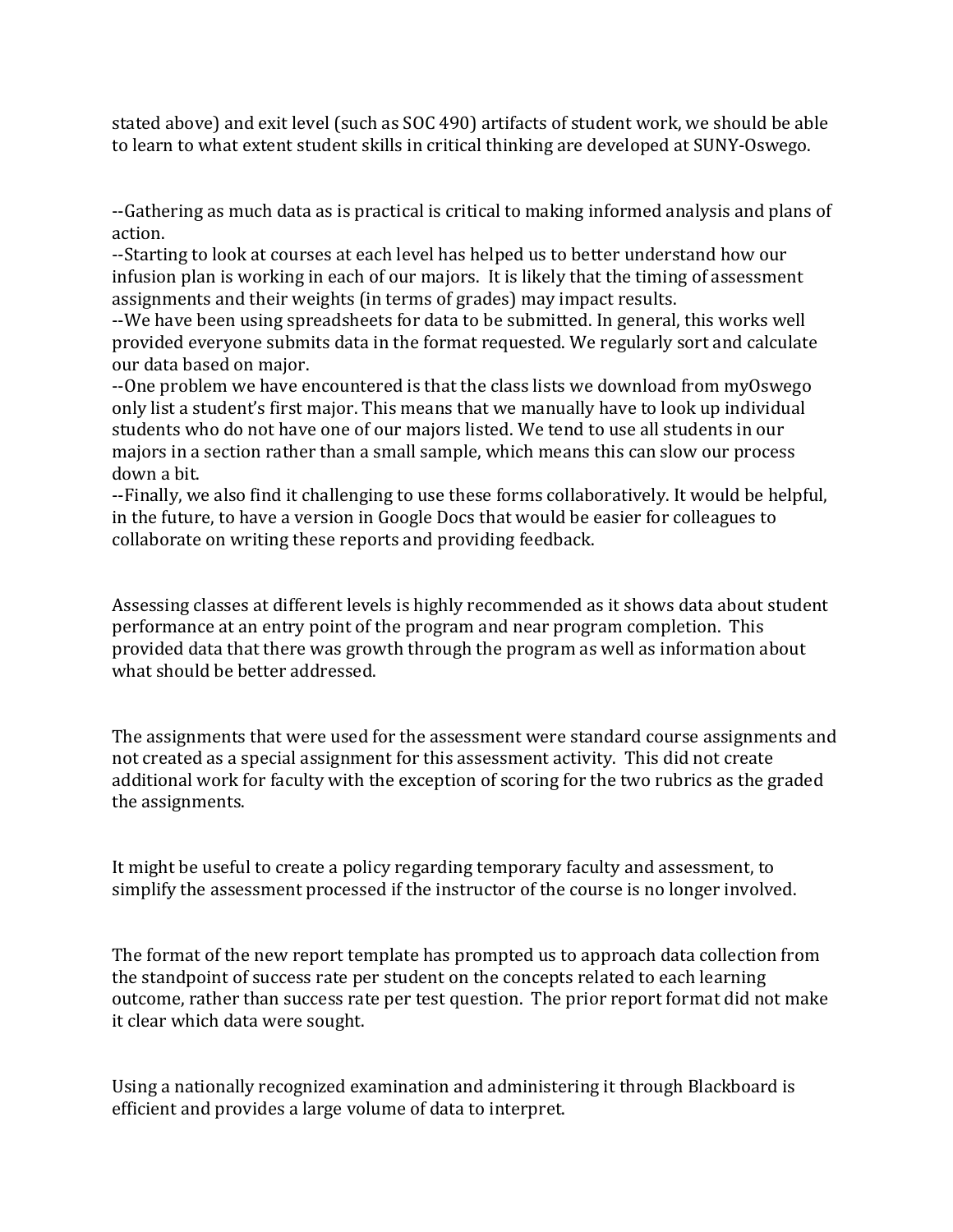stated above) and exit level (such as SOC 490) artifacts of student work, we should be able to learn to what extent student skills in critical thinking are developed at SUNY-Oswego.

--Gathering as much data as is practical is critical to making informed analysis and plans of action.

--Starting to look at courses at each level has helped us to better understand how our infusion plan is working in each of our majors. It is likely that the timing of assessment assignments and their weights (in terms of grades) may impact results.

--We have been using spreadsheets for data to be submitted. In general, this works well provided everyone submits data in the format requested. We regularly sort and calculate our data based on major.

--One problem we have encountered is that the class lists we download from myOswego only list a student's first major. This means that we manually have to look up individual students who do not have one of our majors listed. We tend to use all students in our majors in a section rather than a small sample, which means this can slow our process down a bit.

--Finally, we also find it challenging to use these forms collaboratively. It would be helpful, in the future, to have a version in Google Docs that would be easier for colleagues to collaborate on writing these reports and providing feedback.

Assessing classes at different levels is highly recommended as it shows data about student performance at an entry point of the program and near program completion. This provided data that there was growth through the program as well as information about what should be better addressed.

The assignments that were used for the assessment were standard course assignments and not created as a special assignment for this assessment activity. This did not create additional work for faculty with the exception of scoring for the two rubrics as the graded the assignments.

It might be useful to create a policy regarding temporary faculty and assessment, to simplify the assessment processed if the instructor of the course is no longer involved.

The format of the new report template has prompted us to approach data collection from the standpoint of success rate per student on the concepts related to each learning outcome, rather than success rate per test question. The prior report format did not make it clear which data were sought.

Using a nationally recognized examination and administering it through Blackboard is efficient and provides a large volume of data to interpret.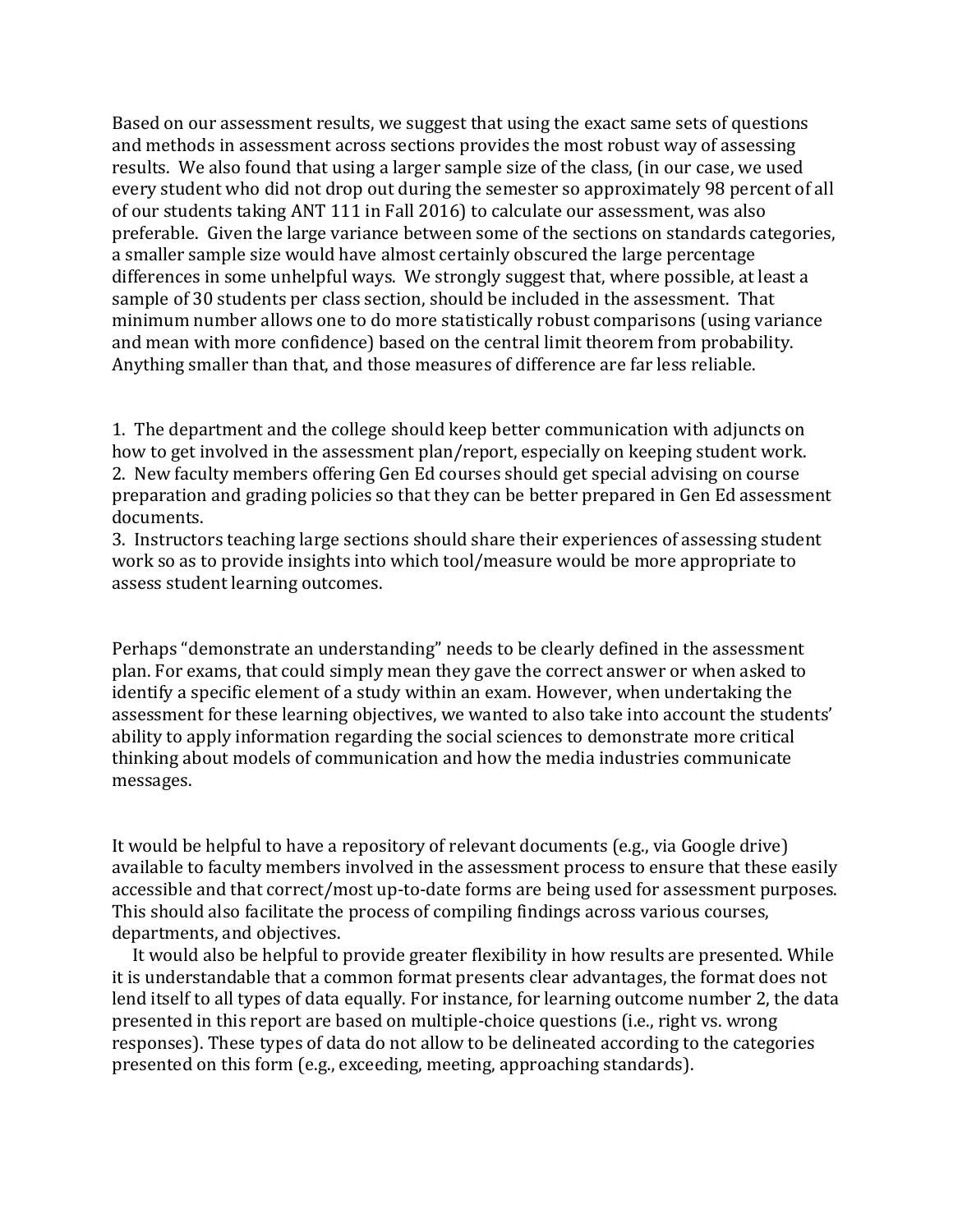Based on our assessment results, we suggest that using the exact same sets of questions and methods in assessment across sections provides the most robust way of assessing results. We also found that using a larger sample size of the class, (in our case, we used every student who did not drop out during the semester so approximately 98 percent of all of our students taking ANT 111 in Fall 2016) to calculate our assessment, was also preferable. Given the large variance between some of the sections on standards categories, a smaller sample size would have almost certainly obscured the large percentage differences in some unhelpful ways. We strongly suggest that, where possible, at least a sample of 30 students per class section, should be included in the assessment. That minimum number allows one to do more statistically robust comparisons (using variance and mean with more confidence) based on the central limit theorem from probability. Anything smaller than that, and those measures of difference are far less reliable.

1. The department and the college should keep better communication with adjuncts on how to get involved in the assessment plan/report, especially on keeping student work. 2. New faculty members offering Gen Ed courses should get special advising on course preparation and grading policies so that they can be better prepared in Gen Ed assessment documents.

3. Instructors teaching large sections should share their experiences of assessing student work so as to provide insights into which tool/measure would be more appropriate to assess student learning outcomes.

Perhaps "demonstrate an understanding" needs to be clearly defined in the assessment plan. For exams, that could simply mean they gave the correct answer or when asked to identify a specific element of a study within an exam. However, when undertaking the assessment for these learning objectives, we wanted to also take into account the students' ability to apply information regarding the social sciences to demonstrate more critical thinking about models of communication and how the media industries communicate messages.

It would be helpful to have a repository of relevant documents (e.g., via Google drive) available to faculty members involved in the assessment process to ensure that these easily accessible and that correct/most up-to-date forms are being used for assessment purposes. This should also facilitate the process of compiling findings across various courses, departments, and objectives.

 It would also be helpful to provide greater flexibility in how results are presented. While it is understandable that a common format presents clear advantages, the format does not lend itself to all types of data equally. For instance, for learning outcome number 2, the data presented in this report are based on multiple-choice questions (i.e., right vs. wrong responses). These types of data do not allow to be delineated according to the categories presented on this form (e.g., exceeding, meeting, approaching standards).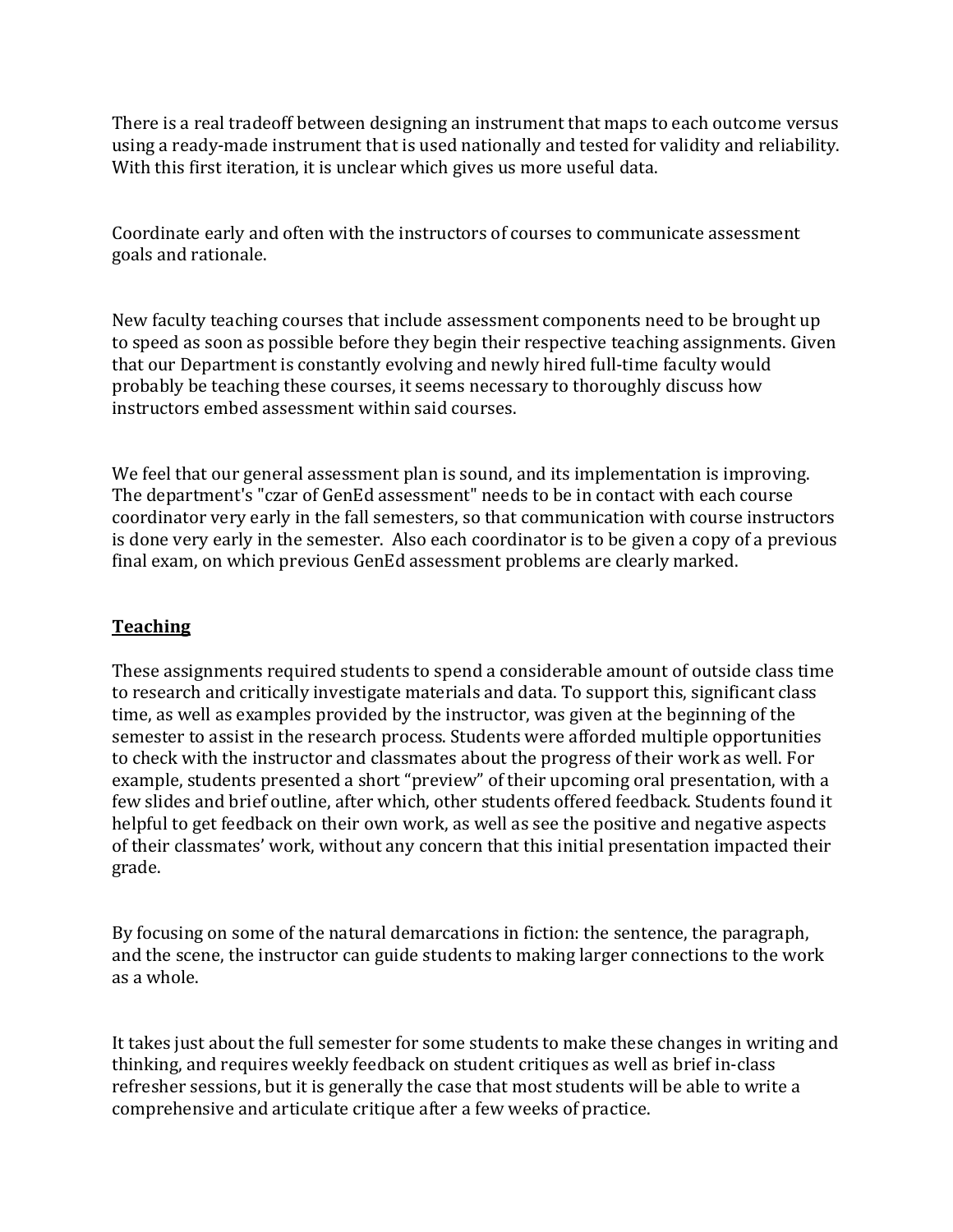There is a real tradeoff between designing an instrument that maps to each outcome versus using a ready-made instrument that is used nationally and tested for validity and reliability. With this first iteration, it is unclear which gives us more useful data.

Coordinate early and often with the instructors of courses to communicate assessment goals and rationale.

New faculty teaching courses that include assessment components need to be brought up to speed as soon as possible before they begin their respective teaching assignments. Given that our Department is constantly evolving and newly hired full-time faculty would probably be teaching these courses, it seems necessary to thoroughly discuss how instructors embed assessment within said courses.

We feel that our general assessment plan is sound, and its implementation is improving. The department's "czar of GenEd assessment" needs to be in contact with each course coordinator very early in the fall semesters, so that communication with course instructors is done very early in the semester. Also each coordinator is to be given a copy of a previous final exam, on which previous GenEd assessment problems are clearly marked.

### **Teaching**

These assignments required students to spend a considerable amount of outside class time to research and critically investigate materials and data. To support this, significant class time, as well as examples provided by the instructor, was given at the beginning of the semester to assist in the research process. Students were afforded multiple opportunities to check with the instructor and classmates about the progress of their work as well. For example, students presented a short "preview" of their upcoming oral presentation, with a few slides and brief outline, after which, other students offered feedback. Students found it helpful to get feedback on their own work, as well as see the positive and negative aspects of their classmates' work, without any concern that this initial presentation impacted their grade.

By focusing on some of the natural demarcations in fiction: the sentence, the paragraph, and the scene, the instructor can guide students to making larger connections to the work as a whole.

It takes just about the full semester for some students to make these changes in writing and thinking, and requires weekly feedback on student critiques as well as brief in-class refresher sessions, but it is generally the case that most students will be able to write a comprehensive and articulate critique after a few weeks of practice.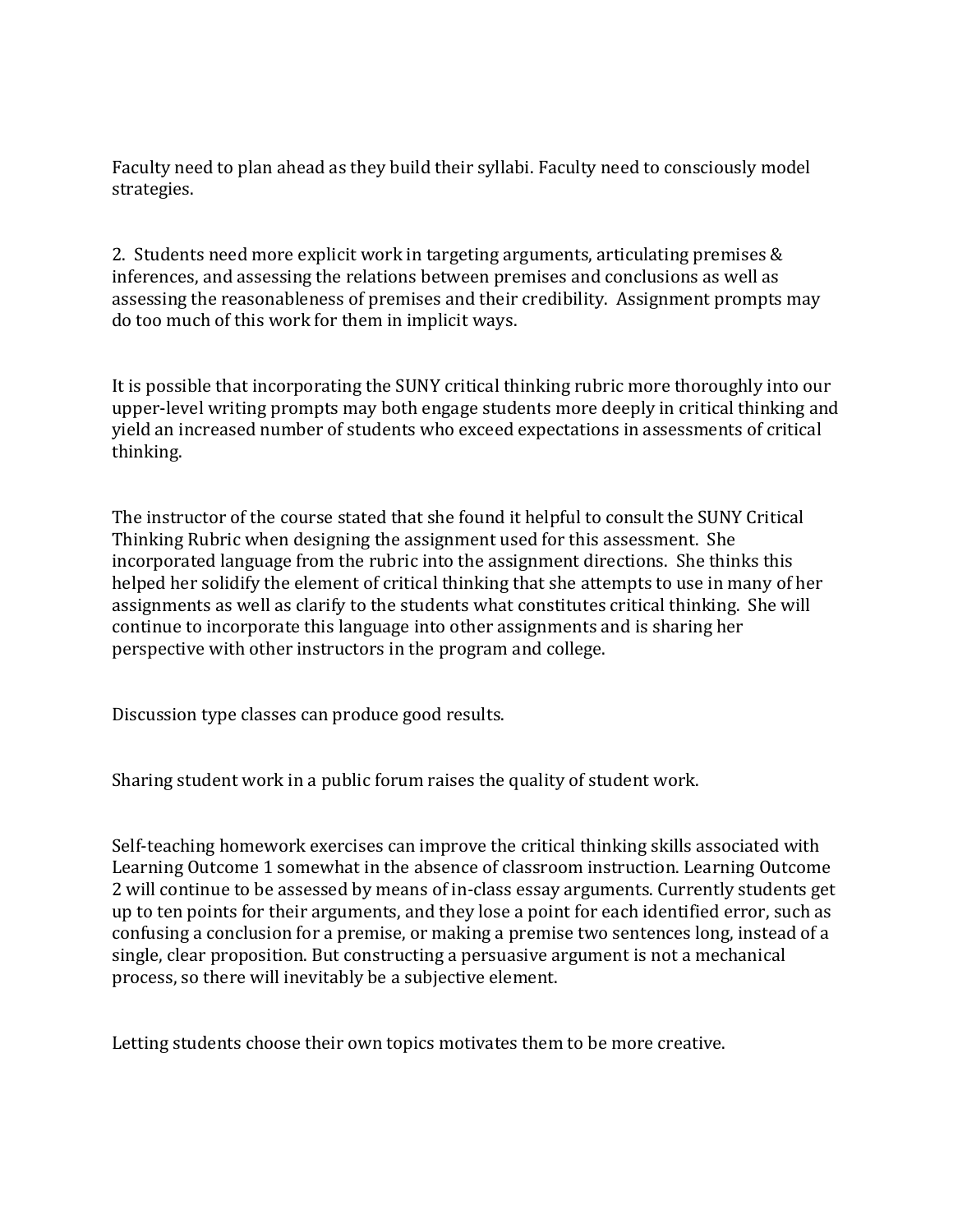Faculty need to plan ahead as they build their syllabi. Faculty need to consciously model strategies.

2. Students need more explicit work in targeting arguments, articulating premises & inferences, and assessing the relations between premises and conclusions as well as assessing the reasonableness of premises and their credibility. Assignment prompts may do too much of this work for them in implicit ways.

It is possible that incorporating the SUNY critical thinking rubric more thoroughly into our upper-level writing prompts may both engage students more deeply in critical thinking and yield an increased number of students who exceed expectations in assessments of critical thinking.

The instructor of the course stated that she found it helpful to consult the SUNY Critical Thinking Rubric when designing the assignment used for this assessment. She incorporated language from the rubric into the assignment directions. She thinks this helped her solidify the element of critical thinking that she attempts to use in many of her assignments as well as clarify to the students what constitutes critical thinking. She will continue to incorporate this language into other assignments and is sharing her perspective with other instructors in the program and college.

Discussion type classes can produce good results.

Sharing student work in a public forum raises the quality of student work.

Self-teaching homework exercises can improve the critical thinking skills associated with Learning Outcome 1 somewhat in the absence of classroom instruction. Learning Outcome 2 will continue to be assessed by means of in-class essay arguments. Currently students get up to ten points for their arguments, and they lose a point for each identified error, such as confusing a conclusion for a premise, or making a premise two sentences long, instead of a single, clear proposition. But constructing a persuasive argument is not a mechanical process, so there will inevitably be a subjective element.

Letting students choose their own topics motivates them to be more creative.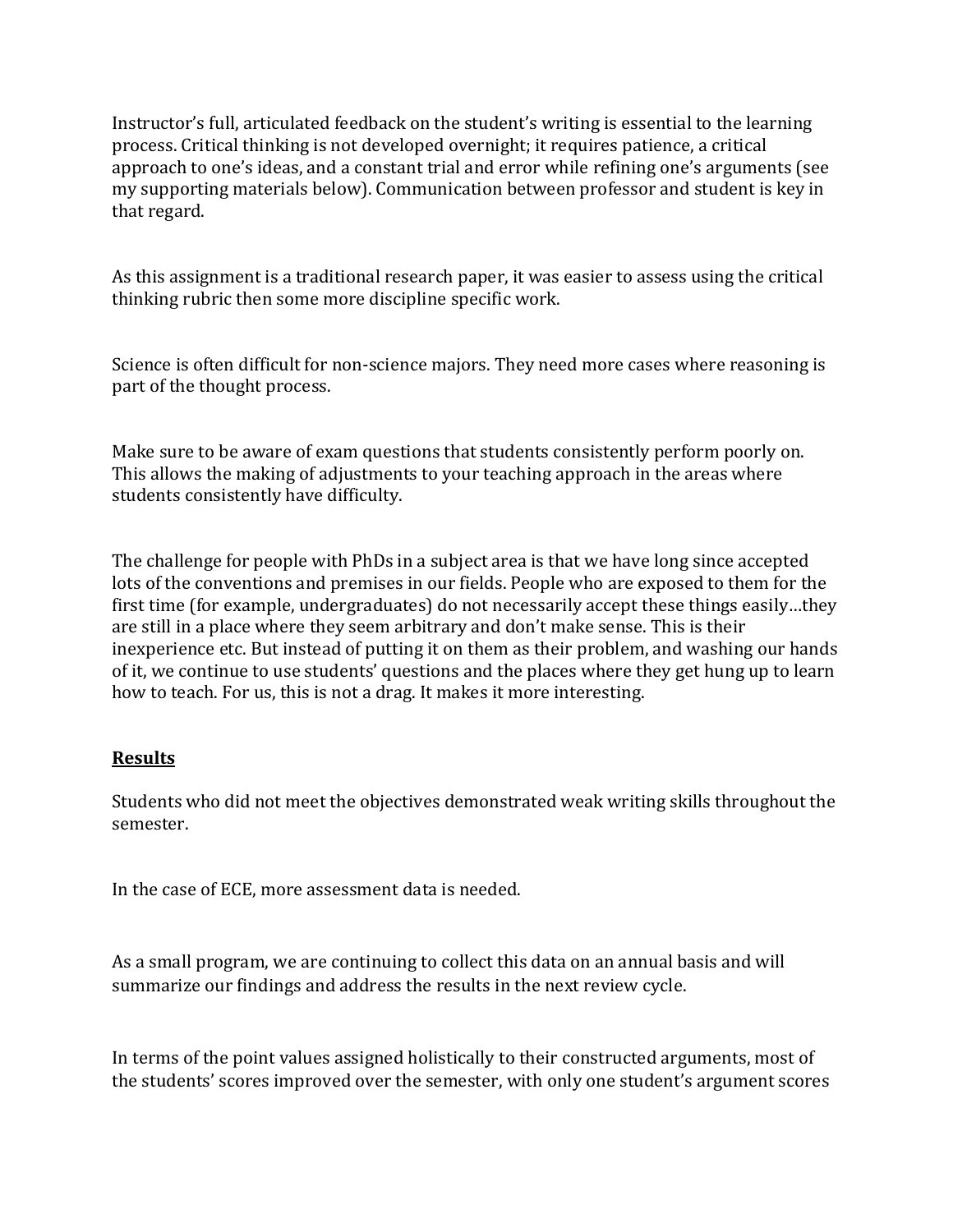Instructor's full, articulated feedback on the student's writing is essential to the learning process. Critical thinking is not developed overnight; it requires patience, a critical approach to one's ideas, and a constant trial and error while refining one's arguments (see my supporting materials below). Communication between professor and student is key in that regard.

As this assignment is a traditional research paper, it was easier to assess using the critical thinking rubric then some more discipline specific work.

Science is often difficult for non-science majors. They need more cases where reasoning is part of the thought process.

Make sure to be aware of exam questions that students consistently perform poorly on. This allows the making of adjustments to your teaching approach in the areas where students consistently have difficulty.

The challenge for people with PhDs in a subject area is that we have long since accepted lots of the conventions and premises in our fields. People who are exposed to them for the first time (for example, undergraduates) do not necessarily accept these things easily…they are still in a place where they seem arbitrary and don't make sense. This is their inexperience etc. But instead of putting it on them as their problem, and washing our hands of it, we continue to use students' questions and the places where they get hung up to learn how to teach. For us, this is not a drag. It makes it more interesting.

### **Results**

Students who did not meet the objectives demonstrated weak writing skills throughout the semester.

In the case of ECE, more assessment data is needed.

As a small program, we are continuing to collect this data on an annual basis and will summarize our findings and address the results in the next review cycle.

In terms of the point values assigned holistically to their constructed arguments, most of the students' scores improved over the semester, with only one student's argument scores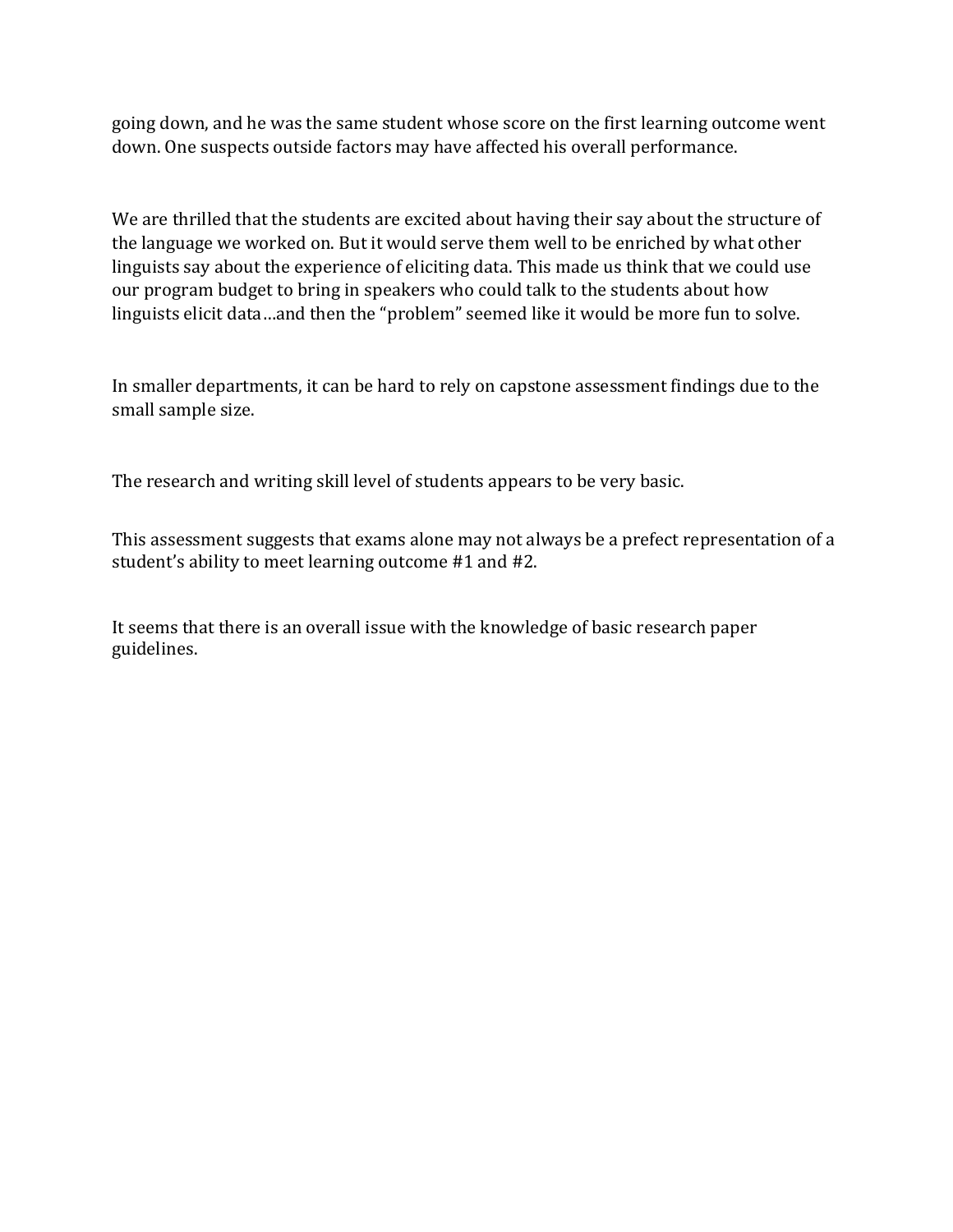going down, and he was the same student whose score on the first learning outcome went down. One suspects outside factors may have affected his overall performance.

We are thrilled that the students are excited about having their say about the structure of the language we worked on. But it would serve them well to be enriched by what other linguists say about the experience of eliciting data. This made us think that we could use our program budget to bring in speakers who could talk to the students about how linguists elicit data…and then the "problem" seemed like it would be more fun to solve.

In smaller departments, it can be hard to rely on capstone assessment findings due to the small sample size.

The research and writing skill level of students appears to be very basic.

This assessment suggests that exams alone may not always be a prefect representation of a student's ability to meet learning outcome #1 and #2.

It seems that there is an overall issue with the knowledge of basic research paper guidelines.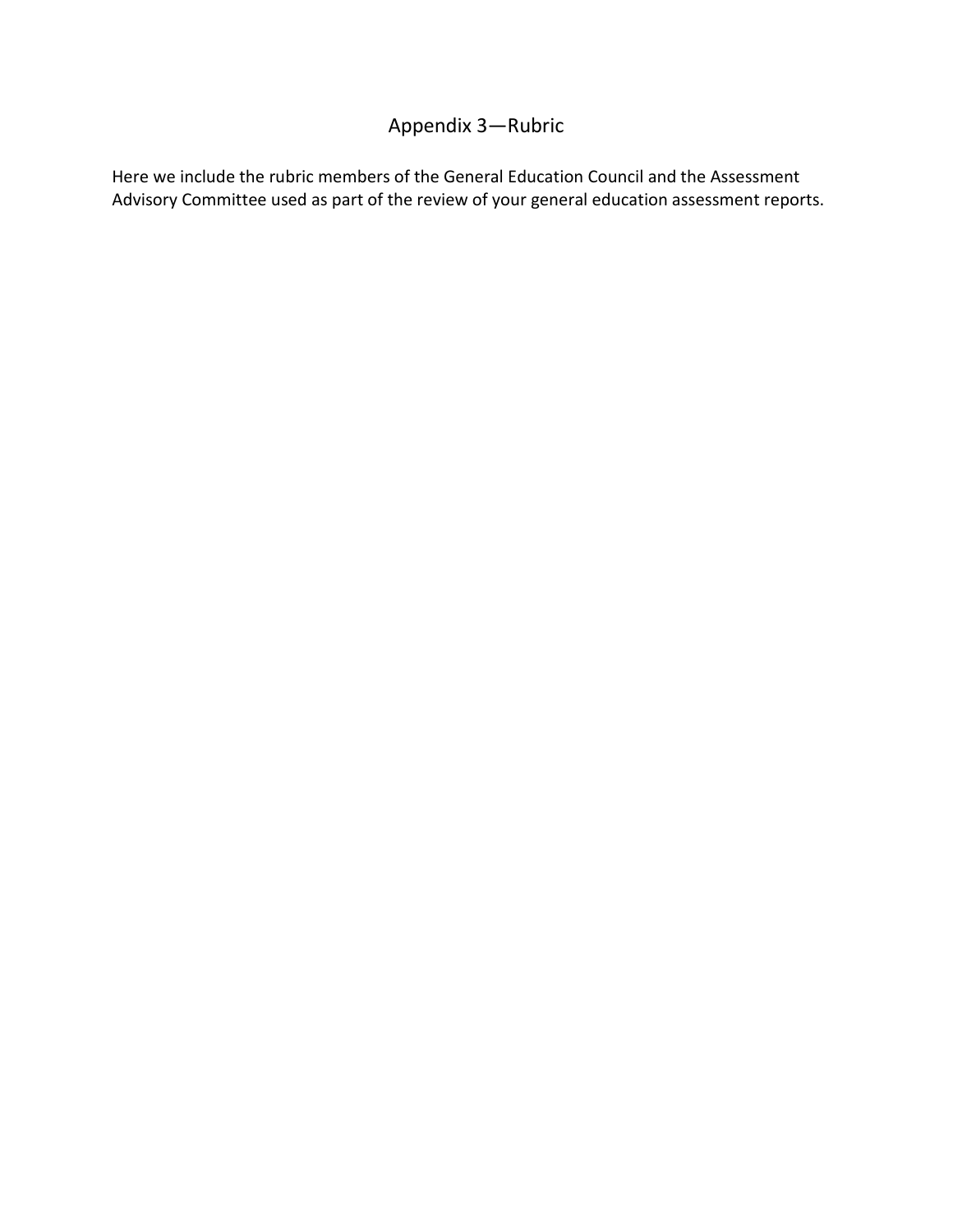## Appendix 3—Rubric

Here we include the rubric members of the General Education Council and the Assessment Advisory Committee used as part of the review of your general education assessment reports.